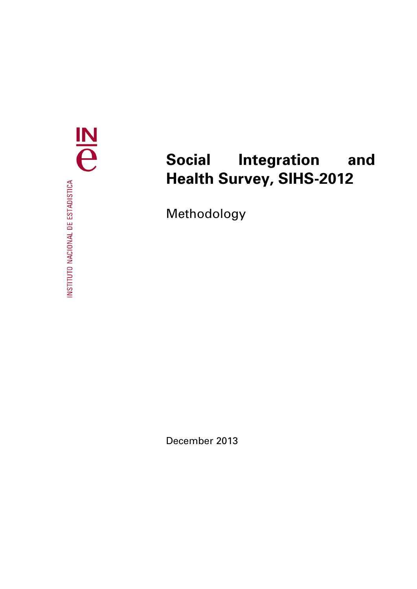$\frac{N}{e}$ INSTITUTO NACIONAL DE ESTADISTICA

# **Social Integration and Health Survey, SIHS-2012**

Methodology

December 2013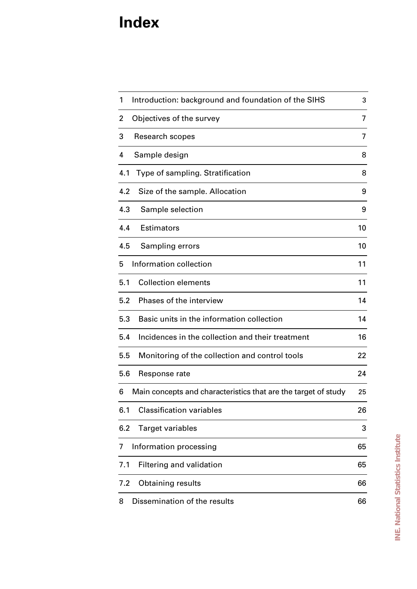# **Index**

| Introduction: background and foundation of the SIHS<br>1            | 3  |
|---------------------------------------------------------------------|----|
| Objectives of the survey<br>2                                       | 7  |
| 3<br>Research scopes                                                | 7  |
| 4<br>Sample design                                                  | 8  |
| Type of sampling. Stratification<br>4.1                             | 8  |
| 4.2<br>Size of the sample. Allocation                               | 9  |
| 4.3<br>Sample selection                                             | 9  |
| Estimators<br>4.4                                                   | 10 |
| 4.5<br>Sampling errors                                              | 10 |
| Information collection<br>5                                         | 11 |
| <b>Collection elements</b><br>5.1                                   | 11 |
| Phases of the interview<br>5.2                                      | 14 |
| Basic units in the information collection<br>5.3                    | 14 |
| Incidences in the collection and their treatment<br>5.4             | 16 |
| 5.5<br>Monitoring of the collection and control tools               | 22 |
| 5.6<br>Response rate                                                | 24 |
| Main concepts and characteristics that are the target of study<br>6 | 25 |
| <b>Classification variables</b><br>6.1                              | 26 |
| 6.2<br><b>Target variables</b>                                      | 3  |
| Information processing<br>7                                         | 65 |
| 7.1<br>Filtering and validation                                     | 65 |
| 7.2<br><b>Obtaining results</b>                                     | 66 |
| Dissemination of the results<br>8                                   | 66 |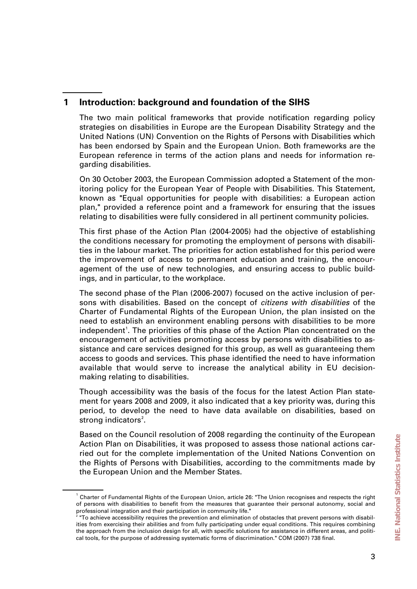# **1 Introduction: background and foundation of the SIHS**

The two main political frameworks that provide notification regarding policy strategies on disabilities in Europe are the European Disability Strategy and the United Nations (UN) Convention on the Rights of Persons with Disabilities which has been endorsed by Spain and the European Union. Both frameworks are the European reference in terms of the action plans and needs for information regarding disabilities.

On 30 October 2003, the European Commission adopted a Statement of the monitoring policy for the European Year of People with Disabilities. This Statement, known as "Equal opportunities for people with disabilities: a European action plan," provided a reference point and a framework for ensuring that the issues relating to disabilities were fully considered in all pertinent community policies.

This first phase of the Action Plan (2004-2005) had the objective of establishing the conditions necessary for promoting the employment of persons with disabilities in the labour market. The priorities for action established for this period were the improvement of access to permanent education and training, the encouragement of the use of new technologies, and ensuring access to public buildings, and in particular, to the workplace.

The second phase of the Plan (2006-2007) focused on the active inclusion of persons with disabilities. Based on the concept of *citizens with disabilities* of the Charter of Fundamental Rights of the European Union, the plan insisted on the need to establish an environment enabling persons with disabilities to be more independent<sup>[1](#page-2-0)</sup>. The priorities of this phase of the Action Plan concentrated on the encouragement of activities promoting access by persons with disabilities to assistance and care services designed for this group, as well as guaranteeing them access to goods and services. This phase identified the need to have information available that would serve to increase the analytical ability in EU decisionmaking relating to disabilities.

Though accessibility was the basis of the focus for the latest Action Plan statement for years 2008 and 2009, it also indicated that a key priority was, during this period, to develop the need to have data available on disabilities, based on strong indicators<sup>[2](#page-2-1)</sup>.

Based on the Council resolution of 2008 regarding the continuity of the European Action Plan on Disabilities, it was proposed to assess those national actions carried out for the complete implementation of the United Nations Convention on the Rights of Persons with Disabilities, according to the commitments made by the European Union and the Member States.

<span id="page-2-0"></span><sup>&</sup>lt;sup>1</sup> Charter of Fundamental Rights of the European Union, article 26: "The Union recognises and respects the right of persons with disabilities to benefit from the measures that guarantee their personal autonomy, social and

<span id="page-2-1"></span>professional integration and their participation in community life." 2 "To achieve accessibility requires the prevention and elimination of obstacles that prevent persons with disabilities from exercising their abilities and from fully participating under equal conditions. This requires combining the approach from the inclusion design for all, with specific solutions for assistance in different areas, and political tools, for the purpose of addressing systematic forms of discrimination." COM (2007) 738 final.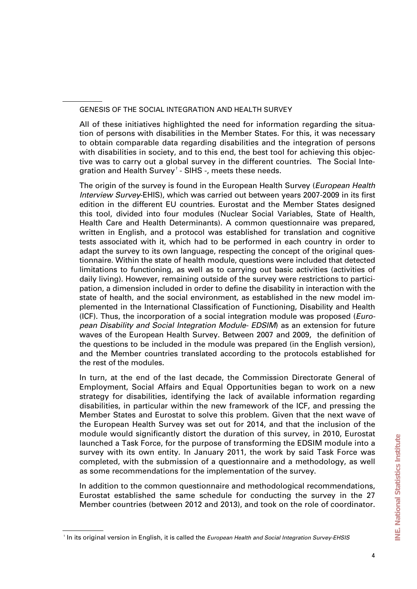GENESIS OF THE SOCIAL INTEGRATION AND HEALTH SURVEY

All of these initiatives highlighted the need for information regarding the situation of persons with disabilities in the Member States. For this, it was necessary to obtain comparable data regarding disabilities and the integration of persons with disabilities in society, and to this end, the best tool for achieving this objective was to carry out a global survey in the different countries. The Social Inte-gration and Health Survey<sup>[1](#page-3-0)</sup> - SIHS -, meets these needs.

The origin of the survey is found in the European Health Survey (*European Health Interview Survey*-EHIS), which was carried out between years 2007-2009 in its first edition in the different EU countries. Eurostat and the Member States designed this tool, divided into four modules (Nuclear Social Variables, State of Health, Health Care and Health Determinants). A common questionnaire was prepared, written in English, and a protocol was established for translation and cognitive tests associated with it, which had to be performed in each country in order to adapt the survey to its own language, respecting the concept of the original questionnaire. Within the state of health module, questions were included that detected limitations to functioning, as well as to carrying out basic activities (activities of daily living). However, remaining outside of the survey were restrictions to participation, a dimension included in order to define the disability in interaction with the state of health, and the social environment, as established in the new model implemented in the International Classification of Functioning, Disability and Health (ICF). Thus, the incorporation of a social integration module was proposed (*European Disability and Social Integration Module- EDSIM*) as an extension for future waves of the European Health Survey. Between 2007 and 2009, the definition of the questions to be included in the module was prepared (in the English version), and the Member countries translated according to the protocols established for the rest of the modules.

In turn, at the end of the last decade, the Commission Directorate General of Employment, Social Affairs and Equal Opportunities began to work on a new strategy for disabilities, identifying the lack of available information regarding disabilities, in particular within the new framework of the ICF, and pressing the Member States and Eurostat to solve this problem. Given that the next wave of the European Health Survey was set out for 2014, and that the inclusion of the module would significantly distort the duration of this survey, in 2010, Eurostat launched a Task Force, for the purpose of transforming the EDSIM module into a survey with its own entity. In January 2011, the work by said Task Force was completed, with the submission of a questionnaire and a methodology, as well as some recommendations for the implementation of the survey.

In addition to the common questionnaire and methodological recommendations, Eurostat established the same schedule for conducting the survey in the 27 Member countries (between 2012 and 2013), and took on the role of coordinator.

<span id="page-3-0"></span><sup>1</sup> In its original version in English, it is called the *European Health and Social Integration Survey-EHSIS*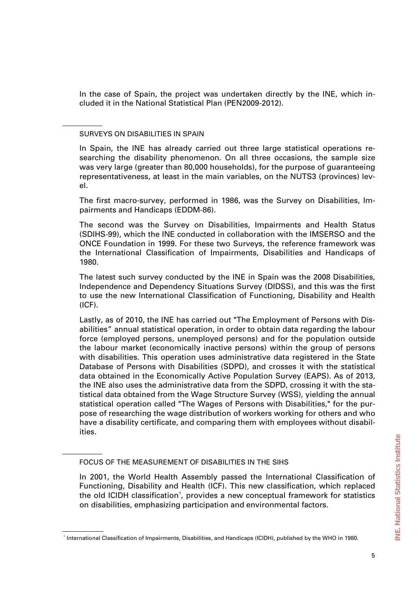In the case of Spain, the project was undertaken directly by the INE, which included it in the National Statistical Plan (PEN2009-2012).

SURVEYS ON DISABILITIES IN SPAIN

In Spain, the INE has already carried out three large statistical operations researching the disability phenomenon. On all three occasions, the sample size was very large (greater than 80,000 households), for the purpose of guaranteeing representativeness, at least in the main variables, on the NUTS3 (provinces) level.

The first macro-survey, performed in 1986, was the Survey on Disabilities, Impairments and Handicaps (EDDM-86).

The second was the Survey on Disabilities, Impairments and Health Status (SDIHS-99), which the INE conducted in collaboration with the IMSERSO and the ONCE Foundation in 1999. For these two Surveys, the reference framework was the International Classification of Impairments, Disabilities and Handicaps of 1980.

The latest such survey conducted by the INE in Spain was the 2008 Disabilities, Independence and Dependency Situations Survey (DIDSS), and this was the first to use the new International Classification of Functioning, Disability and Health (ICF).

Lastly, as of 2010, the INE has carried out "The Employment of Persons with Disabilities" annual statistical operation, in order to obtain data regarding the labour force (employed persons, unemployed persons) and for the population outside the labour market (economically inactive persons) within the group of persons with disabilities. This operation uses administrative data registered in the State Database of Persons with Disabilities (SDPD), and crosses it with the statistical data obtained in the Economically Active Population Survey (EAPS). As of 2013, the INE also uses the administrative data from the SDPD, crossing it with the statistical data obtained from the Wage Structure Survey (WSS), yielding the annual statistical operation called "The Wages of Persons with Disabilities," for the purpose of researching the wage distribution of workers working for others and who have a disability certificate, and comparing them with employees without disabilities.

FOCUS OF THE MEASUREMENT OF DISABILITIES IN THE SIHS

In 2001, the World Health Assembly passed the International Classification of Functioning, Disability and Health (ICF). This new classification, which replaced the old ICIDH classification<sup>1</sup>, provides a new conceptual framework for statistics on disabilities, emphasizing participation and environmental factors.

<span id="page-4-0"></span><sup>1</sup> International Classification of Impairments, Disabilities, and Handicaps (ICIDH), published by the WHO in 1980.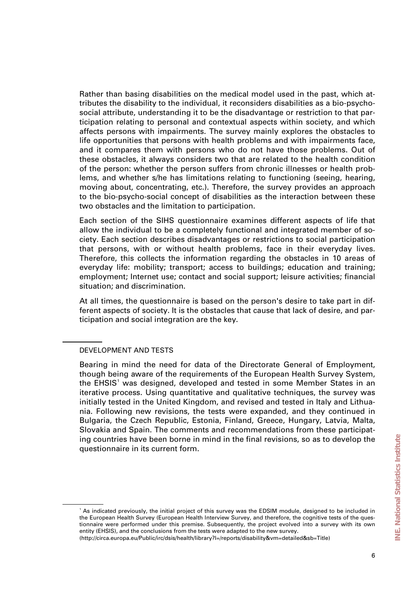Rather than basing disabilities on the medical model used in the past, which attributes the disability to the individual, it reconsiders disabilities as a bio-psychosocial attribute, understanding it to be the disadvantage or restriction to that participation relating to personal and contextual aspects within society, and which affects persons with impairments. The survey mainly explores the obstacles to life opportunities that persons with health problems and with impairments face, and it compares them with persons who do not have those problems. Out of these obstacles, it always considers two that are related to the health condition of the person: whether the person suffers from chronic illnesses or health problems, and whether s/he has limitations relating to functioning (seeing, hearing, moving about, concentrating, etc.). Therefore, the survey provides an approach to the bio-psycho-social concept of disabilities as the interaction between these two obstacles and the limitation to participation.

Each section of the SIHS questionnaire examines different aspects of life that allow the individual to be a completely functional and integrated member of society. Each section describes disadvantages or restrictions to social participation that persons, with or without health problems, face in their everyday lives. Therefore, this collects the information regarding the obstacles in 10 areas of everyday life: mobility; transport; access to buildings; education and training; employment; Internet use; contact and social support; leisure activities; financial situation; and discrimination.

At all times, the questionnaire is based on the person's desire to take part in different aspects of society. It is the obstacles that cause that lack of desire, and participation and social integration are the key.

#### DEVELOPMENT AND TESTS

Bearing in mind the need for data of the Directorate General of Employment, though being aware of the requirements of the European Health Survey System, the EHSIS<sup>[1](#page-5-0)</sup> was designed, developed and tested in some Member States in an iterative process. Using quantitative and qualitative techniques, the survey was initially tested in the United Kingdom, and revised and tested in Italy and Lithuania. Following new revisions, the tests were expanded, and they continued in Bulgaria, the Czech Republic, Estonia, Finland, Greece, Hungary, Latvia, Malta, Slovakia and Spain. The comments and recommendations from these participating countries have been borne in mind in the final revisions, so as to develop the questionnaire in its current form.

<span id="page-5-0"></span><sup>&</sup>lt;sup>1</sup> As indicated previously, the initial project of this survey was the EDSIM module, designed to be included in the European Health Survey (European Health Interview Survey, and therefore, the cognitive tests of the questionnaire were performed under this premise. Subsequently, the project evolved into a survey with its own entity (EHSIS), and the conclusions from the tests were adapted to the new survey.

<sup>(</sup>http://circa.europa.eu/Public/irc/dsis/health/library?l=/reports/disability&vm=detailed&sb=Title)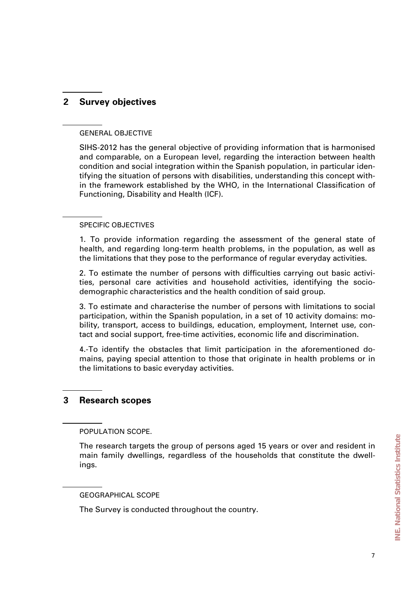# **2 Survey objectives**

#### GENERAL OBJECTIVE

SIHS-2012 has the general objective of providing information that is harmonised and comparable, on a European level, regarding the interaction between health condition and social integration within the Spanish population, in particular identifying the situation of persons with disabilities, understanding this concept within the framework established by the WHO, in the International Classification of Functioning, Disability and Health (ICF).

#### SPECIFIC OBJECTIVES

1. To provide information regarding the assessment of the general state of health, and regarding long-term health problems, in the population, as well as the limitations that they pose to the performance of regular everyday activities.

2. To estimate the number of persons with difficulties carrying out basic activities, personal care activities and household activities, identifying the sociodemographic characteristics and the health condition of said group.

3. To estimate and characterise the number of persons with limitations to social participation, within the Spanish population, in a set of 10 activity domains: mobility, transport, access to buildings, education, employment, Internet use, contact and social support, free-time activities, economic life and discrimination.

4.-To identify the obstacles that limit participation in the aforementioned domains, paying special attention to those that originate in health problems or in the limitations to basic everyday activities.

# **3 Research scopes**

POPULATION SCOPE.

The research targets the group of persons aged 15 years or over and resident in main family dwellings, regardless of the households that constitute the dwellings.

#### GEOGRAPHICAL SCOPE

The Survey is conducted throughout the country.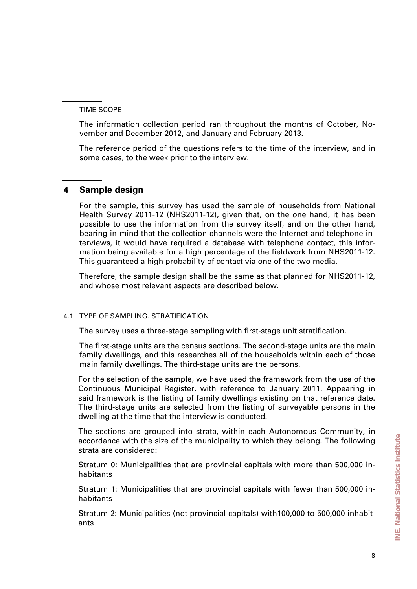TIME SCOPE

The information collection period ran throughout the months of October, November and December 2012, and January and February 2013.

The reference period of the questions refers to the time of the interview, and in some cases, to the week prior to the interview.

# **4 Sample design**

For the sample, this survey has used the sample of households from National Health Survey 2011-12 (NHS2011-12), given that, on the one hand, it has been possible to use the information from the survey itself, and on the other hand, bearing in mind that the collection channels were the Internet and telephone interviews, it would have required a database with telephone contact, this information being available for a high percentage of the fieldwork from NHS2011-12. This guaranteed a high probability of contact via one of the two media.

Therefore, the sample design shall be the same as that planned for NHS2011-12, and whose most relevant aspects are described below.

# 4.1 TYPE OF SAMPLING. STRATIFICATION

The survey uses a three-stage sampling with first-stage unit stratification.

The first-stage units are the census sections. The second-stage units are the main family dwellings, and this researches all of the households within each of those main family dwellings. The third-stage units are the persons.

For the selection of the sample, we have used the framework from the use of the Continuous Municipal Register, with reference to January 2011. Appearing in said framework is the listing of family dwellings existing on that reference date. The third-stage units are selected from the listing of surveyable persons in the dwelling at the time that the interview is conducted.

The sections are grouped into strata, within each Autonomous Community, in accordance with the size of the municipality to which they belong. The following strata are considered:

Stratum 0: Municipalities that are provincial capitals with more than 500,000 inhabitants

Stratum 1: Municipalities that are provincial capitals with fewer than 500,000 inhabitants

Stratum 2: Municipalities (not provincial capitals) with100,000 to 500,000 inhabitants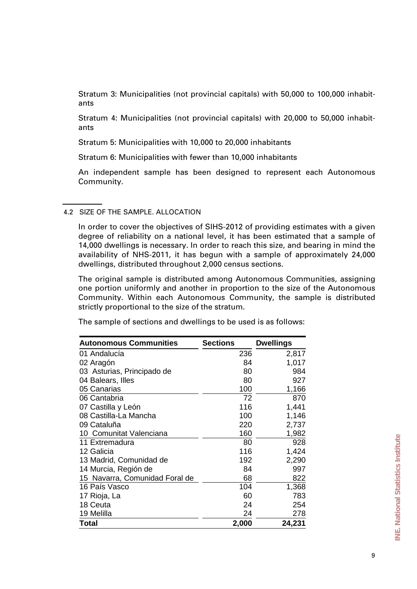Stratum 3: Municipalities (not provincial capitals) with 50,000 to 100,000 inhabitants

Stratum 4: Municipalities (not provincial capitals) with 20,000 to 50,000 inhabitants

Stratum 5: Municipalities with 10,000 to 20,000 inhabitants

Stratum 6: Municipalities with fewer than 10,000 inhabitants

An independent sample has been designed to represent each Autonomous Community.

#### 4.2 SIZE OF THE SAMPLE. ALLOCATION

In order to cover the objectives of SIHS-2012 of providing estimates with a given degree of reliability on a national level, it has been estimated that a sample of 14,000 dwellings is necessary. In order to reach this size, and bearing in mind the availability of NHS-2011, it has begun with a sample of approximately 24,000 dwellings, distributed throughout 2,000 census sections.

The original sample is distributed among Autonomous Communities, assigning one portion uniformly and another in proportion to the size of the Autonomous Community. Within each Autonomous Community, the sample is distributed strictly proportional to the size of the stratum.

The sample of sections and dwellings to be used is as follows:

| <b>Autonomous Communities</b>  | <b>Sections</b> | <b>Dwellings</b> |
|--------------------------------|-----------------|------------------|
| 01 Andalucía                   | 236             | 2,817            |
| 02 Aragón                      | 84              | 1,017            |
| 03 Asturias, Principado de     | 80              | 984              |
| 04 Balears, Illes              | 80              | 927              |
| 05 Canarias                    | 100             | 1,166            |
| 06 Cantabria                   | 72              | 870              |
| 07 Castilla y León             | 116             | 1,441            |
| 08 Castilla-La Mancha          | 100             | 1,146            |
| 09 Cataluña                    | 220             | 2,737            |
| 10 Comunitat Valenciana        | 160             | 1,982            |
| 11 Extremadura                 | 80              | 928              |
| 12 Galicia                     | 116             | 1,424            |
| 13 Madrid, Comunidad de        | 192             | 2,290            |
| 14 Murcia, Región de           | 84              | 997              |
| 15 Navarra, Comunidad Foral de | 68              | 822              |
| 16 País Vasco                  | 104             | 1,368            |
| 17 Rioja, La                   | 60              | 783              |
| 18 Ceuta                       | 24              | 254              |
| 19 Melilla                     | 24              | 278              |
| Total                          | 2,000           | 24,231           |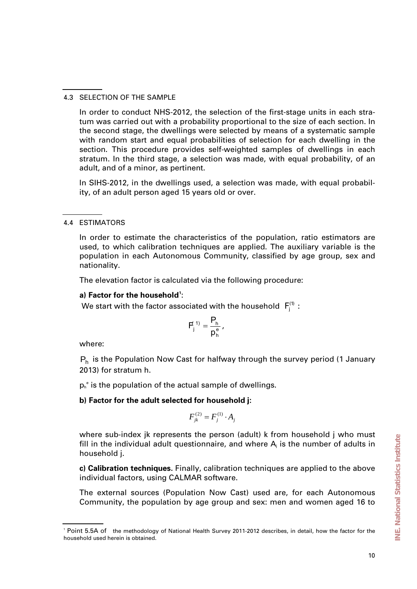4.3 SELECTION OF THE SAMPLE

In order to conduct NHS-2012, the selection of the first-stage units in each stratum was carried out with a probability proportional to the size of each section. In the second stage, the dwellings were selected by means of a systematic sample with random start and equal probabilities of selection for each dwelling in the section. This procedure provides self-weighted samples of dwellings in each stratum. In the third stage, a selection was made, with equal probability, of an adult, and of a minor, as pertinent.

In SIHS-2012, in the dwellings used, a selection was made, with equal probability, of an adult person aged 15 years old or over.

In order to estimate the characteristics of the population, ratio estimators are used, to which calibration techniques are applied. The auxiliary variable is the population in each Autonomous Community, classified by age group, sex and nationality.

The elevation factor is calculated via the following procedure:

#### **a) Factor for the household[1](#page-9-0)** :

We start with the factor associated with the household  $F_i^{(1)}$ :

$$
F_j^{(1)}=\frac{P_h}{p_h^{e}},
$$

where:

 $P_h$  is the Population Now Cast for halfway through the survey period (1 January 2013) for stratum h.

 $p_h^e$  is the population of the actual sample of dwellings.

# **b) Factor for the adult selected for household j:**

$$
F_{jk}^{(2)}=F_j^{(1)}\cdot A_j
$$

where sub-index jk represents the person (adult) k from household j who must fill in the individual adult questionnaire, and where  $A_i$  is the number of adults in household j.

**c) Calibration techniques.** Finally, calibration techniques are applied to the above individual factors, using CALMAR software.

The external sources (Population Now Cast) used are, for each Autonomous Community, the population by age group and sex: men and women aged 16 to

<sup>4.4</sup> ESTIMATORS

<span id="page-9-0"></span><sup>1</sup> Point 5.5A of the methodology of National Health Survey 2011-2012 describes, in detail, how the factor for the household used herein is obtained.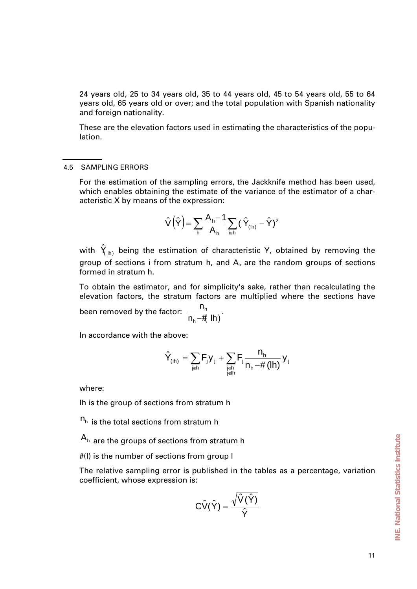24 years old, 25 to 34 years old, 35 to 44 years old, 45 to 54 years old, 55 to 64 years old, 65 years old or over; and the total population with Spanish nationality and foreign nationality.

These are the elevation factors used in estimating the characteristics of the population.

#### 4.5 SAMPLING ERRORS

For the estimation of the sampling errors, the Jackknife method has been used, which enables obtaining the estimate of the variance of the estimator of a characteristic X by means of the expression:

$$
\hat{V}\left(\hat{Y}\right) = \sum_{h} \frac{A_h - 1}{A_h} \sum_{i \in h} \left(\hat{Y}_{(lh)} - \hat{Y}\right)^2
$$

with  $\hat{Y}_{(h)}$  being the estimation of characteristic Y, obtained by removing the group of sections i from stratum h, and  $A_h$  are the random groups of sections formed in stratum h.

To obtain the estimator, and for simplicity's sake, rather than recalculating the elevation factors, the stratum factors are multiplied where the sections have been removed by the factor:  $\frac{m}{n_h - \# \ln h}$ n h  $\frac{m_h}{-H}$  lh).

In accordance with the above:

$$
\hat{Y}_{\text{(lh)}}=\sum_{\text{j}\neq h}F_{j}y_{j}+\sum_{\underset{j\not\in lh}{j\in h}}F_{j}\frac{n_{_{h}}}{n_{_{h}}-\# \left(\text{lh}\right)}\,y_{j}
$$

where:

lh is the group of sections from stratum h

 $n<sub>h</sub>$  is the total sections from stratum h

 $A_h$  are the groups of sections from stratum h

#(l) is the number of sections from group l

The relative sampling error is published in the tables as a percentage, variation coefficient, whose expression is:

$$
C\hat{V}(\hat{Y})=\frac{\sqrt{\hat{V}(\hat{Y})}}{\hat{Y}}
$$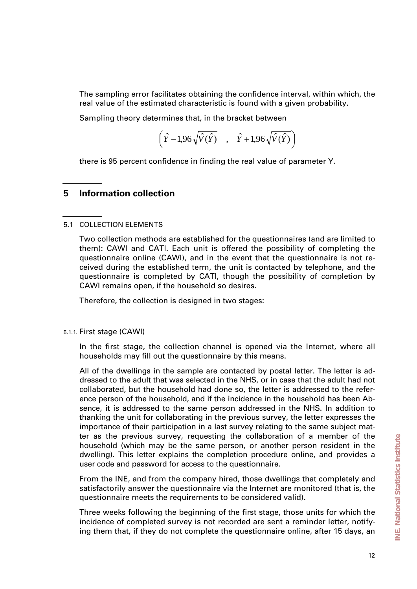The sampling error facilitates obtaining the confidence interval, within which, the real value of the estimated characteristic is found with a given probability.

Sampling theory determines that, in the bracket between

$$
\left(\hat{Y} - 1,96\sqrt{\hat{V}(\hat{Y})} \quad , \quad \hat{Y} + 1,96\sqrt{\hat{V}(\hat{Y})}\right)
$$

there is 95 percent confidence in finding the real value of parameter Y.

# **5 Information collection**

#### 5.1 COLLECTION ELEMENTS

Two collection methods are established for the questionnaires (and are limited to them): CAWI and CATI. Each unit is offered the possibility of completing the questionnaire online (CAWI), and in the event that the questionnaire is not received during the established term, the unit is contacted by telephone, and the questionnaire is completed by CATI, though the possibility of completion by CAWI remains open, if the household so desires.

Therefore, the collection is designed in two stages:

From the INE, and from the company hired, those dwellings that completely and satisfactorily answer the questionnaire via the Internet are monitored (that is, the questionnaire meets the requirements to be considered valid).

Three weeks following the beginning of the first stage, those units for which the incidence of completed survey is not recorded are sent a reminder letter, notifying them that, if they do not complete the questionnaire online, after 15 days, an

<sup>5.1.1.</sup> First stage (CAWI)

In the first stage, the collection channel is opened via the Internet, where all households may fill out the questionnaire by this means.

All of the dwellings in the sample are contacted by postal letter. The letter is addressed to the adult that was selected in the NHS, or in case that the adult had not collaborated, but the household had done so, the letter is addressed to the reference person of the household, and if the incidence in the household has been Absence, it is addressed to the same person addressed in the NHS. In addition to thanking the unit for collaborating in the previous survey, the letter expresses the importance of their participation in a last survey relating to the same subject matter as the previous survey, requesting the collaboration of a member of the household (which may be the same person, or another person resident in the dwelling). This letter explains the completion procedure online, and provides a user code and password for access to the questionnaire.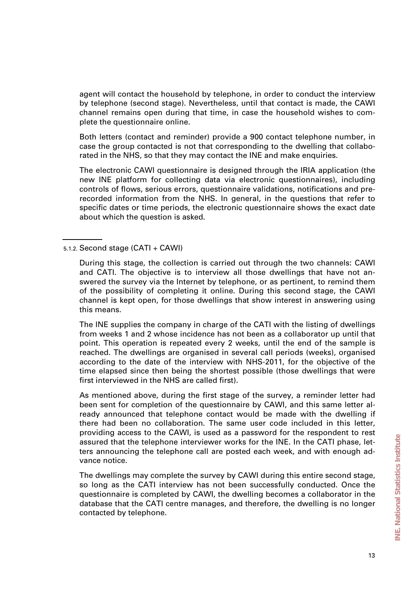agent will contact the household by telephone, in order to conduct the interview by telephone (second stage). Nevertheless, until that contact is made, the CAWI channel remains open during that time, in case the household wishes to complete the questionnaire online.

Both letters (contact and reminder) provide a 900 contact telephone number, in case the group contacted is not that corresponding to the dwelling that collaborated in the NHS, so that they may contact the INE and make enquiries.

The electronic CAWI questionnaire is designed through the IRIA application (the new INE platform for collecting data via electronic questionnaires), including controls of flows, serious errors, questionnaire validations, notifications and prerecorded information from the NHS. In general, in the questions that refer to specific dates or time periods, the electronic questionnaire shows the exact date about which the question is asked.

The INE supplies the company in charge of the CATI with the listing of dwellings from weeks 1 and 2 whose incidence has not been as a collaborator up until that point. This operation is repeated every 2 weeks, until the end of the sample is reached. The dwellings are organised in several call periods (weeks), organised according to the date of the interview with NHS-2011, for the objective of the time elapsed since then being the shortest possible (those dwellings that were first interviewed in the NHS are called first).

As mentioned above, during the first stage of the survey, a reminder letter had been sent for completion of the questionnaire by CAWI, and this same letter already announced that telephone contact would be made with the dwelling if there had been no collaboration. The same user code included in this letter, providing access to the CAWI, is used as a password for the respondent to rest assured that the telephone interviewer works for the INE. In the CATI phase, letters announcing the telephone call are posted each week, and with enough advance notice.

The dwellings may complete the survey by CAWI during this entire second stage, so long as the CATI interview has not been successfully conducted. Once the questionnaire is completed by CAWI, the dwelling becomes a collaborator in the database that the CATI centre manages, and therefore, the dwelling is no longer contacted by telephone.

<sup>5.1.2.</sup> Second stage (CATI + CAWI)

During this stage, the collection is carried out through the two channels: CAWI and CATI. The objective is to interview all those dwellings that have not answered the survey via the Internet by telephone, or as pertinent, to remind them of the possibility of completing it online. During this second stage, the CAWI channel is kept open, for those dwellings that show interest in answering using this means.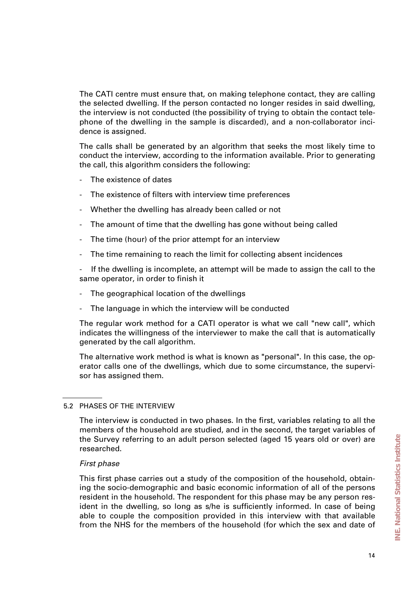The CATI centre must ensure that, on making telephone contact, they are calling the selected dwelling. If the person contacted no longer resides in said dwelling, the interview is not conducted (the possibility of trying to obtain the contact telephone of the dwelling in the sample is discarded), and a non-collaborator incidence is assigned.

The calls shall be generated by an algorithm that seeks the most likely time to conduct the interview, according to the information available. Prior to generating the call, this algorithm considers the following:

- The existence of dates
- The existence of filters with interview time preferences
- Whether the dwelling has already been called or not
- The amount of time that the dwelling has gone without being called
- The time (hour) of the prior attempt for an interview
- The time remaining to reach the limit for collecting absent incidences
- If the dwelling is incomplete, an attempt will be made to assign the call to the same operator, in order to finish it
- The geographical location of the dwellings
- The language in which the interview will be conducted

The regular work method for a CATI operator is what we call "new call", which indicates the willingness of the interviewer to make the call that is automatically generated by the call algorithm.

The alternative work method is what is known as "personal". In this case, the operator calls one of the dwellings, which due to some circumstance, the supervisor has assigned them.

#### 5.2 PHASES OF THE INTERVIEW

The interview is conducted in two phases. In the first, variables relating to all the members of the household are studied, and in the second, the target variables of the Survey referring to an adult person selected (aged 15 years old or over) are researched.

#### *First phase*

This first phase carries out a study of the composition of the household, obtaining the socio-demographic and basic economic information of all of the persons resident in the household. The respondent for this phase may be any person resident in the dwelling, so long as s/he is sufficiently informed. In case of being able to couple the composition provided in this interview with that available from the NHS for the members of the household (for which the sex and date of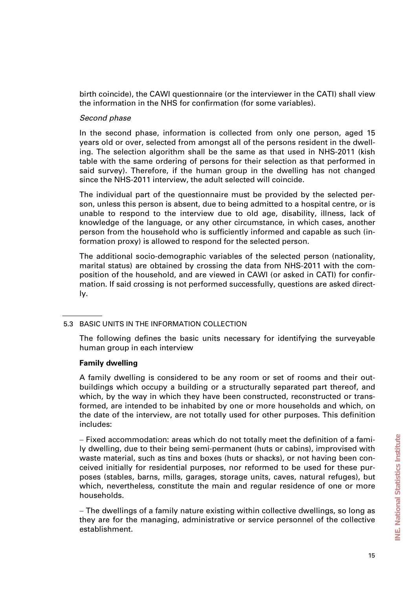birth coincide), the CAWI questionnaire (or the interviewer in the CATI) shall view the information in the NHS for confirmation (for some variables).

#### *Second phase*

In the second phase, information is collected from only one person, aged 15 years old or over, selected from amongst all of the persons resident in the dwelling. The selection algorithm shall be the same as that used in NHS-2011 (kish table with the same ordering of persons for their selection as that performed in said survey). Therefore, if the human group in the dwelling has not changed since the NHS-2011 interview, the adult selected will coincide.

The individual part of the questionnaire must be provided by the selected person, unless this person is absent, due to being admitted to a hospital centre, or is unable to respond to the interview due to old age, disability, illness, lack of knowledge of the language, or any other circumstance, in which cases, another person from the household who is sufficiently informed and capable as such (information proxy) is allowed to respond for the selected person.

The additional socio-demographic variables of the selected person (nationality, marital status) are obtained by crossing the data from NHS-2011 with the composition of the household, and are viewed in CAWI (or asked in CATI) for confirmation. If said crossing is not performed successfully, questions are asked directly.

#### 5.3 BASIC UNITS IN THE INFORMATION COLLECTION

The following defines the basic units necessary for identifying the surveyable human group in each interview

#### **Family dwelling**

A family dwelling is considered to be any room or set of rooms and their outbuildings which occupy a building or a structurally separated part thereof, and which, by the way in which they have been constructed, reconstructed or transformed, are intended to be inhabited by one or more households and which, on the date of the interview, are not totally used for other purposes. This definition includes:

− Fixed accommodation: areas which do not totally meet the definition of a family dwelling, due to their being semi-permanent (huts or cabins), improvised with waste material, such as tins and boxes (huts or shacks), or not having been conceived initially for residential purposes, nor reformed to be used for these purposes (stables, barns, mills, garages, storage units, caves, natural refuges), but which, nevertheless, constitute the main and regular residence of one or more households.

− The dwellings of a family nature existing within collective dwellings, so long as they are for the managing, administrative or service personnel of the collective establishment.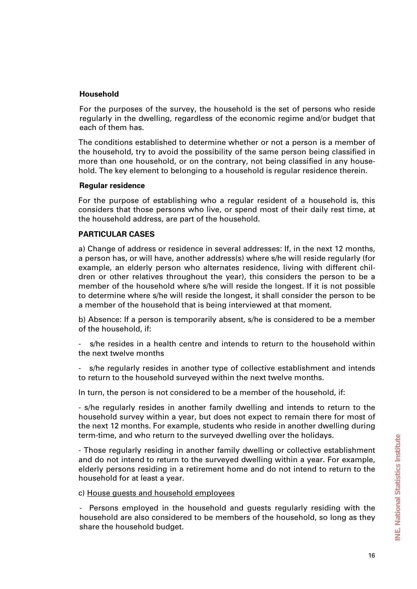## **Household**

For the purposes of the survey, the household is the set of persons who reside regularly in the dwelling, regardless of the economic regime and/or budget that each of them has.

The conditions established to determine whether or not a person is a member of the household, try to avoid the possibility of the same person being classified in more than one household, or on the contrary, not being classified in any household. The key element to belonging to a household is regular residence therein.

#### **Regular residence**

For the purpose of establishing who a regular resident of a household is, this considers that those persons who live, or spend most of their daily rest time, at the household address, are part of the household.

#### **PARTICULAR CASES**

a) Change of address or residence in several addresses: If, in the next 12 months, a person has, or will have, another address(s) where s/he will reside regularly (for example, an elderly person who alternates residence, living with different children or other relatives throughout the year), this considers the person to be a member of the household where s/he will reside the longest. If it is not possible to determine where s/he will reside the longest, it shall consider the person to be a member of the household that is being interviewed at that moment.

b) Absence: If a person is temporarily absent, s/he is considered to be a member of the household, if:

s/he resides in a health centre and intends to return to the household within the next twelve months

s/he regularly resides in another type of collective establishment and intends to return to the household surveyed within the next twelve months.

In turn, the person is not considered to be a member of the household, if:

- s/he regularly resides in another family dwelling and intends to return to the household survey within a year, but does not expect to remain there for most of the next 12 months. For example, students who reside in another dwelling during term-time, and who return to the surveyed dwelling over the holidays.

- Those regularly residing in another family dwelling or collective establishment and do not intend to return to the surveyed dwelling within a year. For example, elderly persons residing in a retirement home and do not intend to return to the household for at least a year.

c) House guests and household employees

Persons employed in the household and guests regularly residing with the household are also considered to be members of the household, so long as they share the household budget.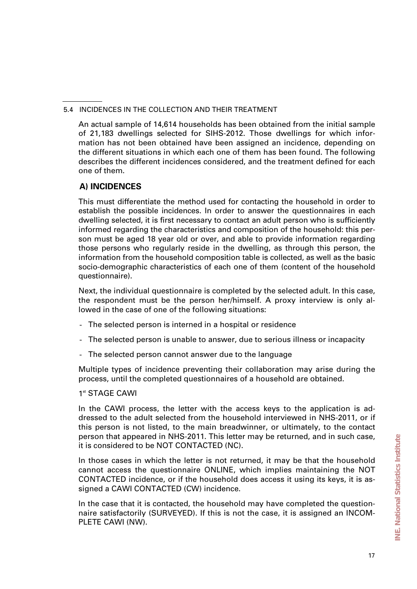#### 5.4 INCIDENCES IN THE COLLECTION AND THEIR TREATMENT

An actual sample of 14,614 households has been obtained from the initial sample of 21,183 dwellings selected for SIHS-2012. Those dwellings for which information has not been obtained have been assigned an incidence, depending on the different situations in which each one of them has been found. The following describes the different incidences considered, and the treatment defined for each one of them.

# **A) INCIDENCES**

This must differentiate the method used for contacting the household in order to establish the possible incidences. In order to answer the questionnaires in each dwelling selected, it is first necessary to contact an adult person who is sufficiently informed regarding the characteristics and composition of the household: this person must be aged 18 year old or over, and able to provide information regarding those persons who regularly reside in the dwelling, as through this person, the information from the household composition table is collected, as well as the basic socio-demographic characteristics of each one of them (content of the household questionnaire).

Next, the individual questionnaire is completed by the selected adult. In this case, the respondent must be the person her/himself. A proxy interview is only allowed in the case of one of the following situations:

- The selected person is interned in a hospital or residence
- The selected person is unable to answer, due to serious illness or incapacity
- The selected person cannot answer due to the language

Multiple types of incidence preventing their collaboration may arise during the process, until the completed questionnaires of a household are obtained.

# 1<sup>st</sup> STAGF CAWI

In the CAWI process, the letter with the access keys to the application is addressed to the adult selected from the household interviewed in NHS-2011, or if this person is not listed, to the main breadwinner, or ultimately, to the contact person that appeared in NHS-2011. This letter may be returned, and in such case, it is considered to be NOT CONTACTED (NC).

In those cases in which the letter is not returned, it may be that the household cannot access the questionnaire ONLINE, which implies maintaining the NOT CONTACTED incidence, or if the household does access it using its keys, it is assigned a CAWI CONTACTED (CW) incidence.

In the case that it is contacted, the household may have completed the questionnaire satisfactorily (SURVEYED). If this is not the case, it is assigned an INCOM-PLETE CAWI (NW).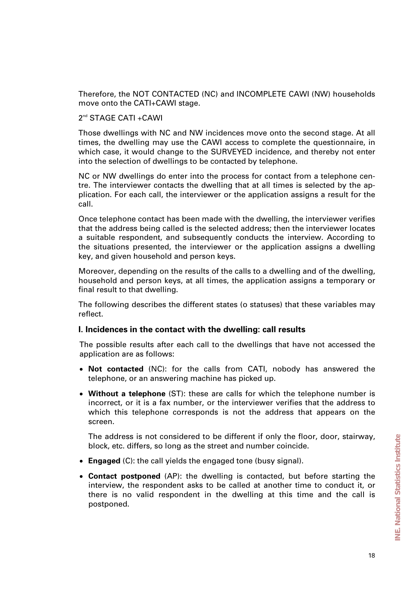Therefore, the NOT CONTACTED (NC) and INCOMPLETE CAWI (NW) households move onto the CATI+CAWI stage.

#### 2<sup>nd</sup> STAGE CATI +CAWI

Those dwellings with NC and NW incidences move onto the second stage. At all times, the dwelling may use the CAWI access to complete the questionnaire, in which case, it would change to the SURVEYED incidence, and thereby not enter into the selection of dwellings to be contacted by telephone.

NC or NW dwellings do enter into the process for contact from a telephone centre. The interviewer contacts the dwelling that at all times is selected by the application. For each call, the interviewer or the application assigns a result for the call.

Once telephone contact has been made with the dwelling, the interviewer verifies that the address being called is the selected address; then the interviewer locates a suitable respondent, and subsequently conducts the interview. According to the situations presented, the interviewer or the application assigns a dwelling key, and given household and person keys.

Moreover, depending on the results of the calls to a dwelling and of the dwelling, household and person keys, at all times, the application assigns a temporary or final result to that dwelling.

The following describes the different states (o statuses) that these variables may reflect.

#### **I. Incidences in the contact with the dwelling: call results**

The possible results after each call to the dwellings that have not accessed the application are as follows:

- **Not contacted** (NC): for the calls from CATI, nobody has answered the telephone, or an answering machine has picked up.
- **Without a telephone** (ST): these are calls for which the telephone number is incorrect, or it is a fax number, or the interviewer verifies that the address to which this telephone corresponds is not the address that appears on the screen.

The address is not considered to be different if only the floor, door, stairway, block, etc. differs, so long as the street and number coincide.

- **Engaged** (C): the call yields the engaged tone (busy signal).
- **Contact postponed** (AP): the dwelling is contacted, but before starting the interview, the respondent asks to be called at another time to conduct it, or there is no valid respondent in the dwelling at this time and the call is postponed.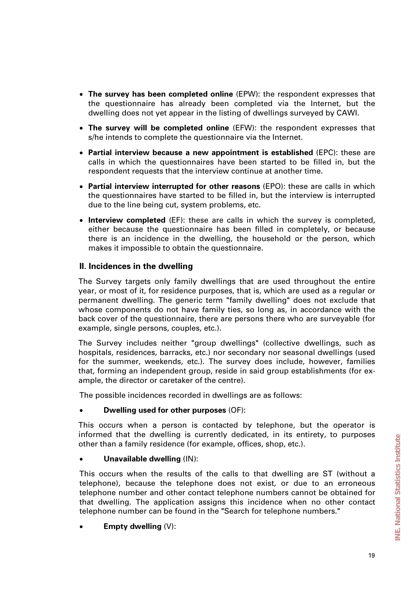- **The survey has been completed online** (EPW): the respondent expresses that the questionnaire has already been completed via the Internet, but the dwelling does not yet appear in the listing of dwellings surveyed by CAWI.
- **The survey will be completed online** (EFW): the respondent expresses that s/he intends to complete the questionnaire via the Internet.
- **Partial interview because a new appointment is established** (EPC): these are calls in which the questionnaires have been started to be filled in, but the respondent requests that the interview continue at another time.
- **Partial interview interrupted for other reasons** (EPO): these are calls in which the questionnaires have started to be filled in, but the interview is interrupted due to the line being cut, system problems, etc.
- **Interview completed** (EF): these are calls in which the survey is completed, either because the questionnaire has been filled in completely, or because there is an incidence in the dwelling, the household or the person, which makes it impossible to obtain the questionnaire.

# **II. Incidences in the dwelling**

The Survey targets only family dwellings that are used throughout the entire year, or most of it, for residence purposes, that is, which are used as a regular or permanent dwelling. The generic term "family dwelling" does not exclude that whose components do not have family ties, so long as, in accordance with the back cover of the questionnaire, there are persons there who are surveyable (for example, single persons, couples, etc.).

The Survey includes neither "group dwellings" (collective dwellings, such as hospitals, residences, barracks, etc.) nor secondary nor seasonal dwellings (used for the summer, weekends, etc.). The survey does include, however, families that, forming an independent group, reside in said group establishments (for example, the director or caretaker of the centre).

The possible incidences recorded in dwellings are as follows:

#### • **Dwelling used for other purposes** (OF):

This occurs when a person is contacted by telephone, but the operator is informed that the dwelling is currently dedicated, in its entirety, to purposes other than a family residence (for example, offices, shop, etc.).

# • **Unavailable dwelling** (IN):

This occurs when the results of the calls to that dwelling are ST (without a telephone), because the telephone does not exist, or due to an erroneous telephone number and other contact telephone numbers cannot be obtained for that dwelling. The application assigns this incidence when no other contact telephone number can be found in the "Search for telephone numbers."

• **Empty dwelling** (V):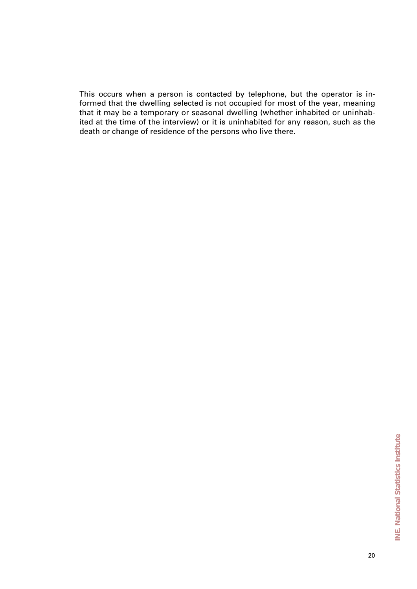This occurs when a person is contacted by telephone, but the operator is informed that the dwelling selected is not occupied for most of the year, meaning that it may be a temporary or seasonal dwelling (whether inhabited or uninhabited at the time of the interview) or it is uninhabited for any reason, such as the death or change of residence of the persons who live there.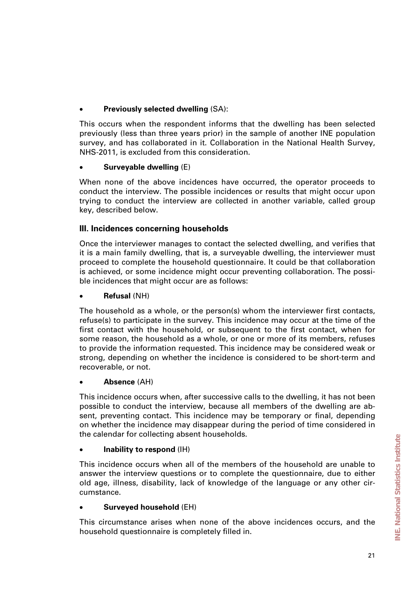# • **Previously selected dwelling** (SA):

This occurs when the respondent informs that the dwelling has been selected previously (less than three years prior) in the sample of another INE population survey, and has collaborated in it. Collaboration in the National Health Survey, NHS-2011, is excluded from this consideration.

# • **Surveyable dwelling** (E)

When none of the above incidences have occurred, the operator proceeds to conduct the interview. The possible incidences or results that might occur upon trying to conduct the interview are collected in another variable, called group key, described below.

# **III. Incidences concerning households**

Once the interviewer manages to contact the selected dwelling, and verifies that it is a main family dwelling, that is, a surveyable dwelling, the interviewer must proceed to complete the household questionnaire. It could be that collaboration is achieved, or some incidence might occur preventing collaboration. The possible incidences that might occur are as follows:

## • **Refusal** (NH)

The household as a whole, or the person(s) whom the interviewer first contacts, refuse(s) to participate in the survey. This incidence may occur at the time of the first contact with the household, or subsequent to the first contact, when for some reason, the household as a whole, or one or more of its members, refuses to provide the information requested. This incidence may be considered weak or strong, depending on whether the incidence is considered to be short-term and recoverable, or not.

# • **Absence** (AH)

This incidence occurs when, after successive calls to the dwelling, it has not been possible to conduct the interview, because all members of the dwelling are absent, preventing contact. This incidence may be temporary or final, depending on whether the incidence may disappear during the period of time considered in the calendar for collecting absent households.

# • **Inability to respond** (IH)

This incidence occurs when all of the members of the household are unable to answer the interview questions or to complete the questionnaire, due to either old age, illness, disability, lack of knowledge of the language or any other circumstance.

# • **Surveyed household** (EH)

This circumstance arises when none of the above incidences occurs, and the household questionnaire is completely filled in.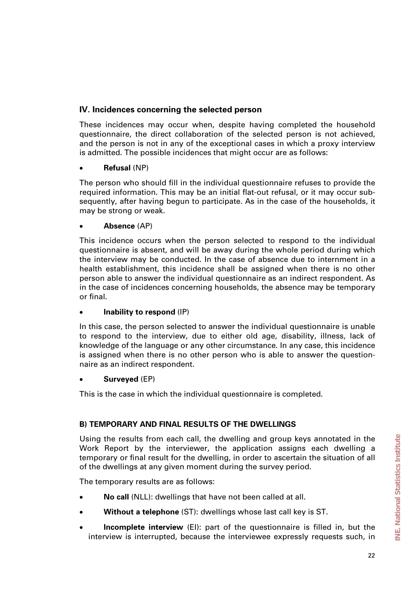# **IV. Incidences concerning the selected person**

These incidences may occur when, despite having completed the household questionnaire, the direct collaboration of the selected person is not achieved, and the person is not in any of the exceptional cases in which a proxy interview is admitted. The possible incidences that might occur are as follows:

# • **Refusal** (NP)

The person who should fill in the individual questionnaire refuses to provide the required information. This may be an initial flat-out refusal, or it may occur subsequently, after having begun to participate. As in the case of the households, it may be strong or weak.

# • **Absence** (AP)

This incidence occurs when the person selected to respond to the individual questionnaire is absent, and will be away during the whole period during which the interview may be conducted. In the case of absence due to internment in a health establishment, this incidence shall be assigned when there is no other person able to answer the individual questionnaire as an indirect respondent. As in the case of incidences concerning households, the absence may be temporary or final.

# • **Inability to respond** (IP)

In this case, the person selected to answer the individual questionnaire is unable to respond to the interview, due to either old age, disability, illness, lack of knowledge of the language or any other circumstance. In any case, this incidence is assigned when there is no other person who is able to answer the questionnaire as an indirect respondent.

# • **Surveyed** (EP)

This is the case in which the individual questionnaire is completed.

# **B) TEMPORARY AND FINAL RESULTS OF THE DWELLINGS**

Using the results from each call, the dwelling and group keys annotated in the Work Report by the interviewer, the application assigns each dwelling a temporary or final result for the dwelling, in order to ascertain the situation of all of the dwellings at any given moment during the survey period.

The temporary results are as follows:

- **No call** (NLL): dwellings that have not been called at all.
- **Without a telephone** (ST): dwellings whose last call key is ST.
- **Incomplete interview** (EI): part of the questionnaire is filled in, but the interview is interrupted, because the interviewee expressly requests such, in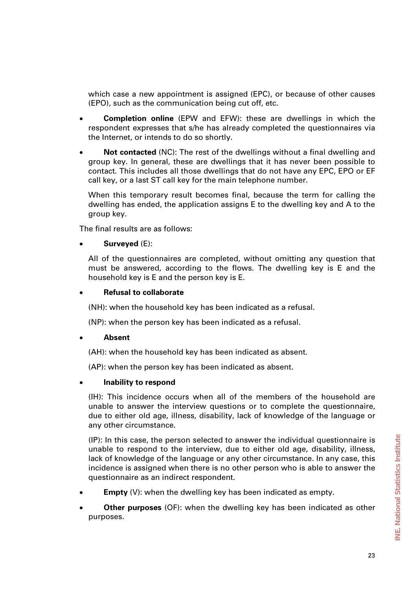which case a new appointment is assigned (EPC), or because of other causes (EPO), such as the communication being cut off, etc.

- **Completion online** (EPW and EFW): these are dwellings in which the respondent expresses that s/he has already completed the questionnaires via the Internet, or intends to do so shortly.
- **Not contacted** (NC): The rest of the dwellings without a final dwelling and group key. In general, these are dwellings that it has never been possible to contact. This includes all those dwellings that do not have any EPC, EPO or EF call key, or a last ST call key for the main telephone number.

When this temporary result becomes final, because the term for calling the dwelling has ended, the application assigns E to the dwelling key and A to the group key.

The final results are as follows:

#### • **Surveyed** (E):

All of the questionnaires are completed, without omitting any question that must be answered, according to the flows. The dwelling key is E and the household key is E and the person key is E.

#### • **Refusal to collaborate**

(NH): when the household key has been indicated as a refusal.

(NP): when the person key has been indicated as a refusal.

#### • **Absent**

(AH): when the household key has been indicated as absent.

(AP): when the person key has been indicated as absent.

# • **Inability to respond**

(IH): This incidence occurs when all of the members of the household are unable to answer the interview questions or to complete the questionnaire, due to either old age, illness, disability, lack of knowledge of the language or any other circumstance.

(IP): In this case, the person selected to answer the individual questionnaire is unable to respond to the interview, due to either old age, disability, illness, lack of knowledge of the language or any other circumstance. In any case, this incidence is assigned when there is no other person who is able to answer the questionnaire as an indirect respondent.

- **Empty** (V): when the dwelling key has been indicated as empty.
- **Other purposes** (OF): when the dwelling key has been indicated as other purposes.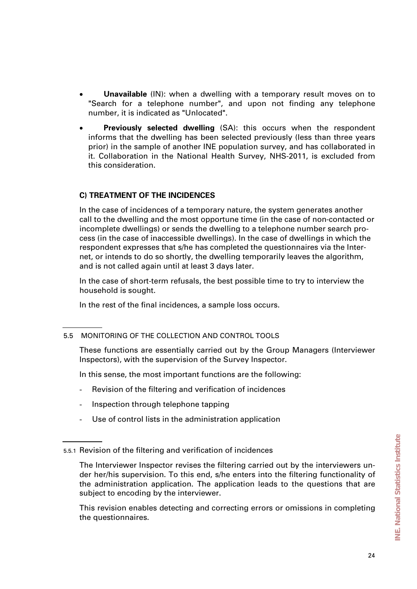- **Unavailable** (IN): when a dwelling with a temporary result moves on to "Search for a telephone number", and upon not finding any telephone number, it is indicated as "Unlocated".
- **Previously selected dwelling** (SA): this occurs when the respondent informs that the dwelling has been selected previously (less than three years prior) in the sample of another INE population survey, and has collaborated in it. Collaboration in the National Health Survey, NHS-2011, is excluded from this consideration.

# **C) TREATMENT OF THE INCIDENCES**

In the case of incidences of a temporary nature, the system generates another call to the dwelling and the most opportune time (in the case of non-contacted or incomplete dwellings) or sends the dwelling to a telephone number search process (in the case of inaccessible dwellings). In the case of dwellings in which the respondent expresses that s/he has completed the questionnaires via the Internet, or intends to do so shortly, the dwelling temporarily leaves the algorithm, and is not called again until at least 3 days later.

In the case of short-term refusals, the best possible time to try to interview the household is sought.

In the rest of the final incidences, a sample loss occurs.

# 5.5 MONITORING OF THE COLLECTION AND CONTROL TOOLS

These functions are essentially carried out by the Group Managers (Interviewer Inspectors), with the supervision of the Survey Inspector.

In this sense, the most important functions are the following:

- Revision of the filtering and verification of incidences
- Inspection through telephone tapping
- Use of control lists in the administration application

This revision enables detecting and correcting errors or omissions in completing the questionnaires.

<sup>5.5.1</sup> Revision of the filtering and verification of incidences

The Interviewer Inspector revises the filtering carried out by the interviewers under her/his supervision. To this end, s/he enters into the filtering functionality of the administration application. The application leads to the questions that are subject to encoding by the interviewer.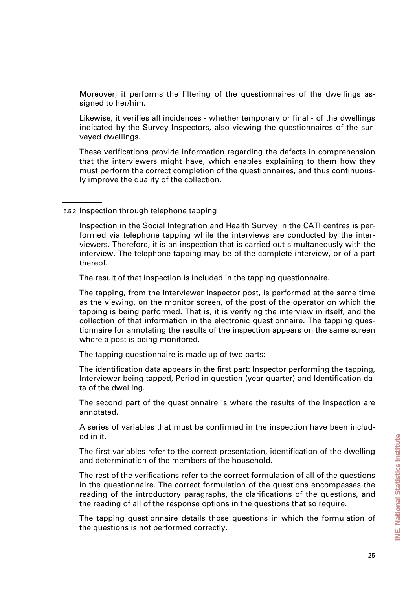Moreover, it performs the filtering of the questionnaires of the dwellings assigned to her/him.

Likewise, it verifies all incidences - whether temporary or final - of the dwellings indicated by the Survey Inspectors, also viewing the questionnaires of the surveyed dwellings.

These verifications provide information regarding the defects in comprehension that the interviewers might have, which enables explaining to them how they must perform the correct completion of the questionnaires, and thus continuously improve the quality of the collection.

#### 5.5.2 Inspection through telephone tapping

Inspection in the Social Integration and Health Survey in the CATI centres is performed via telephone tapping while the interviews are conducted by the interviewers. Therefore, it is an inspection that is carried out simultaneously with the interview. The telephone tapping may be of the complete interview, or of a part thereof.

The result of that inspection is included in the tapping questionnaire.

The tapping, from the Interviewer Inspector post, is performed at the same time as the viewing, on the monitor screen, of the post of the operator on which the tapping is being performed. That is, it is verifying the interview in itself, and the collection of that information in the electronic questionnaire. The tapping questionnaire for annotating the results of the inspection appears on the same screen where a post is being monitored.

The tapping questionnaire is made up of two parts:

The identification data appears in the first part: Inspector performing the tapping, Interviewer being tapped, Period in question (year-quarter) and Identification data of the dwelling.

The second part of the questionnaire is where the results of the inspection are annotated.

A series of variables that must be confirmed in the inspection have been included in it.

The first variables refer to the correct presentation, identification of the dwelling and determination of the members of the household.

The rest of the verifications refer to the correct formulation of all of the questions in the questionnaire. The correct formulation of the questions encompasses the reading of the introductory paragraphs, the clarifications of the questions, and the reading of all of the response options in the questions that so require.

The tapping questionnaire details those questions in which the formulation of the questions is not performed correctly.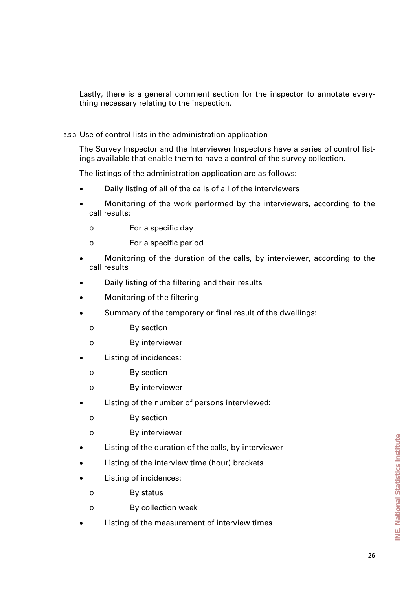Lastly, there is a general comment section for the inspector to annotate everything necessary relating to the inspection.

5.5.3 Use of control lists in the administration application

The Survey Inspector and the Interviewer Inspectors have a series of control listings available that enable them to have a control of the survey collection.

The listings of the administration application are as follows:

- Daily listing of all of the calls of all of the interviewers
- Monitoring of the work performed by the interviewers, according to the call results:
	- o For a specific day
	- o For a specific period
- Monitoring of the duration of the calls, by interviewer, according to the call results
- Daily listing of the filtering and their results
- Monitoring of the filtering
- Summary of the temporary or final result of the dwellings:
	- o By section
	- o By interviewer
- Listing of incidences:
	- o By section
	- o By interviewer
- Listing of the number of persons interviewed:
	- o By section
	- o By interviewer
- Listing of the duration of the calls, by interviewer
- Listing of the interview time (hour) brackets
- Listing of incidences:
	- o By status
	- o By collection week
- Listing of the measurement of interview times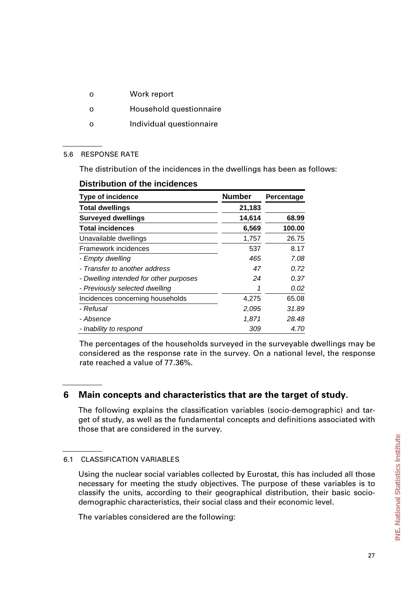- o Work report
- o Household questionnaire
- o Individual questionnaire

#### 5.6 RESPONSE RATE

The distribution of the incidences in the dwellings has been as follows:

| <b>Type of incidence</b>               | <b>Number</b> | Percentage |
|----------------------------------------|---------------|------------|
| <b>Total dwellings</b>                 | 21,183        |            |
| <b>Surveyed dwellings</b>              | 14,614        | 68.99      |
| <b>Total incidences</b>                | 6,569         | 100.00     |
| Unavailable dwellings                  | 1,757         | 26.75      |
| Framework incidences                   | 537           | 8.17       |
| - Empty dwelling                       | 465           | 7.08       |
| - Transfer to another address          | 47            | 0.72       |
| - Dwelling intended for other purposes | 24            | 0.37       |
| - Previously selected dwelling         |               | 0.02       |
| Incidences concerning households       | 4,275         | 65.08      |
| - Refusal                              | 2,095         | 31.89      |
| - Absence                              | 1,871         | 28.48      |
| - Inability to respond                 | 309           | 4.70       |

## **Distribution of the incidences**

The percentages of the households surveyed in the surveyable dwellings may be considered as the response rate in the survey. On a national level, the response rate reached a value of 77.36%.

# **6 Main concepts and characteristics that are the target of study.**

The following explains the classification variables (socio-demographic) and target of study, as well as the fundamental concepts and definitions associated with those that are considered in the survey.

# 6.1 CLASSIFICATION VARIABLES

Using the nuclear social variables collected by Eurostat, this has included all those necessary for meeting the study objectives. The purpose of these variables is to classify the units, according to their geographical distribution, their basic sociodemographic characteristics, their social class and their economic level.

The variables considered are the following: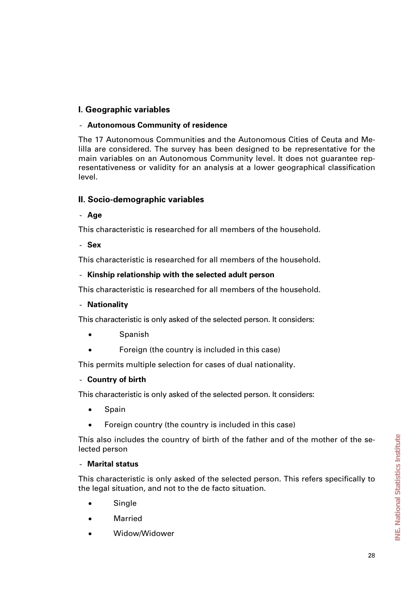# **I. Geographic variables**

## - **Autonomous Community of residence**

The 17 Autonomous Communities and the Autonomous Cities of Ceuta and Melilla are considered. The survey has been designed to be representative for the main variables on an Autonomous Community level. It does not guarantee representativeness or validity for an analysis at a lower geographical classification level.

# **II. Socio-demographic variables**

- **Age**

This characteristic is researched for all members of the household.

- **Sex**

This characteristic is researched for all members of the household.

## - **Kinship relationship with the selected adult person**

This characteristic is researched for all members of the household.

# - **Nationality**

This characteristic is only asked of the selected person. It considers:

- Spanish
- Foreign (the country is included in this case)

This permits multiple selection for cases of dual nationality.

# - **Country of birth**

This characteristic is only asked of the selected person. It considers:

- Spain
- Foreign country (the country is included in this case)

This also includes the country of birth of the father and of the mother of the selected person

#### - **Marital status**

This characteristic is only asked of the selected person. This refers specifically to the legal situation, and not to the de facto situation.

- Single
- Married
- Widow/Widower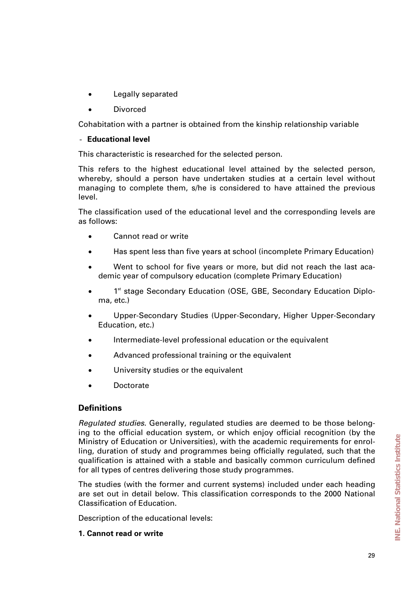- Legally separated
- Divorced

Cohabitation with a partner is obtained from the kinship relationship variable

#### - **Educational level**

This characteristic is researched for the selected person.

This refers to the highest educational level attained by the selected person, whereby, should a person have undertaken studies at a certain level without managing to complete them, s/he is considered to have attained the previous level.

The classification used of the educational level and the corresponding levels are as follows:

- Cannot read or write
- Has spent less than five years at school (incomplete Primary Education)
- Went to school for five years or more, but did not reach the last academic year of compulsory education (complete Primary Education)
- 1<sup>st</sup> stage Secondary Education (OSE, GBE, Secondary Education Diploma, etc.)
- Upper-Secondary Studies (Upper-Secondary, Higher Upper-Secondary Education, etc.)
- Intermediate-level professional education or the equivalent
- Advanced professional training or the equivalent
- University studies or the equivalent
- Doctorate

# **Definitions**

*Regulated studies.* Generally, regulated studies are deemed to be those belonging to the official education system, or which enjoy official recognition (by the Ministry of Education or Universities), with the academic requirements for enrolling, duration of study and programmes being officially regulated, such that the qualification is attained with a stable and basically common curriculum defined for all types of centres delivering those study programmes.

The studies (with the former and current systems) included under each heading are set out in detail below. This classification corresponds to the 2000 National Classification of Education.

Description of the educational levels:

#### **1. Cannot read or write**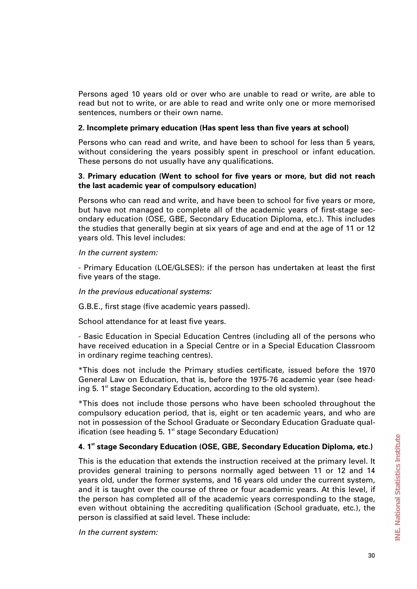Persons aged 10 years old or over who are unable to read or write, are able to read but not to write, or are able to read and write only one or more memorised sentences, numbers or their own name.

#### **2. Incomplete primary education (Has spent less than five years at school)**

Persons who can read and write, and have been to school for less than 5 years, without considering the years possibly spent in preschool or infant education. These persons do not usually have any qualifications.

## **3. Primary education (Went to school for five years or more, but did not reach the last academic year of compulsory education)**

Persons who can read and write, and have been to school for five years or more, but have not managed to complete all of the academic years of first-stage secondary education (OSE, GBE, Secondary Education Diploma, etc.). This includes the studies that generally begin at six years of age and end at the age of 11 or 12 years old. This level includes:

#### *In the current system:*

- Primary Education (LOE/GLSES): if the person has undertaken at least the first five years of the stage.

#### *In the previous educational systems:*

G.B.E., first stage (five academic years passed).

School attendance for at least five years.

- Basic Education in Special Education Centres (including all of the persons who have received education in a Special Centre or in a Special Education Classroom in ordinary regime teaching centres).

\*This does not include the Primary studies certificate, issued before the 1970 General Law on Education, that is, before the 1975-76 academic year (see heading 5.  $1<sup>st</sup>$  stage Secondary Education, according to the old system).

\*This does not include those persons who have been schooled throughout the compulsory education period, that is, eight or ten academic years, and who are not in possession of the School Graduate or Secondary Education Graduate qualification (see heading  $5.1<sup>st</sup>$  stage Secondary Education)

# **4. 1st stage Secondary Education (OSE, GBE, Secondary Education Diploma, etc.)**

This is the education that extends the instruction received at the primary level. It provides general training to persons normally aged between 11 or 12 and 14 years old, under the former systems, and 16 years old under the current system, and it is taught over the course of three or four academic years. At this level, if the person has completed all of the academic years corresponding to the stage, even without obtaining the accrediting qualification (School graduate, etc.), the person is classified at said level. These include:

*In the current system:*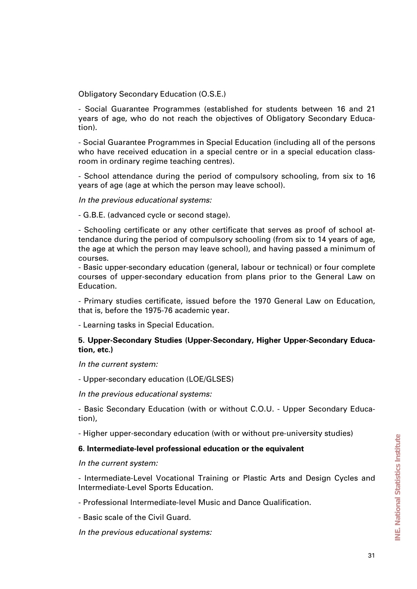Obligatory Secondary Education (O.S.E.)

- Social Guarantee Programmes (established for students between 16 and 21 years of age, who do not reach the objectives of Obligatory Secondary Education).

- Social Guarantee Programmes in Special Education (including all of the persons who have received education in a special centre or in a special education classroom in ordinary regime teaching centres).

- School attendance during the period of compulsory schooling, from six to 16 years of age (age at which the person may leave school).

*In the previous educational systems:*

- G.B.E. (advanced cycle or second stage).

- Schooling certificate or any other certificate that serves as proof of school attendance during the period of compulsory schooling (from six to 14 years of age, the age at which the person may leave school), and having passed a minimum of courses.

- Basic upper-secondary education (general, labour or technical) or four complete courses of upper-secondary education from plans prior to the General Law on Education.

- Primary studies certificate, issued before the 1970 General Law on Education, that is, before the 1975-76 academic year.

- Learning tasks in Special Education.

## **5. Upper-Secondary Studies (Upper-Secondary, Higher Upper-Secondary Education, etc.)**

*In the current system:* 

- Upper-secondary education (LOE/GLSES)

*In the previous educational systems:*

- Basic Secondary Education (with or without C.O.U. - Upper Secondary Education),

- Higher upper-secondary education (with or without pre-university studies)

#### **6. Intermediate-level professional education or the equivalent**

*In the current system:*

- Intermediate-Level Vocational Training or Plastic Arts and Design Cycles and Intermediate-Level Sports Education.

- Professional Intermediate-level Music and Dance Qualification.

- Basic scale of the Civil Guard.

*In the previous educational systems:*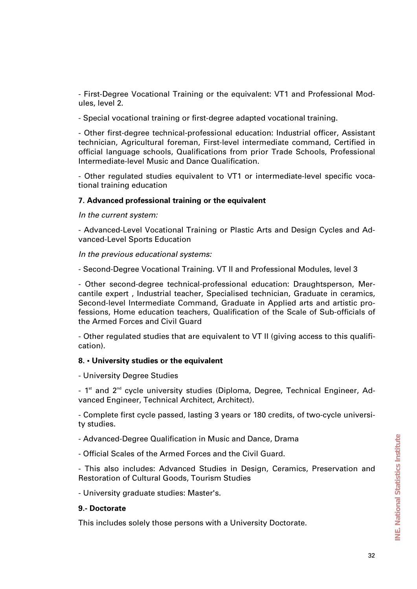- First-Degree Vocational Training or the equivalent: VT1 and Professional Modules, level 2.

- Special vocational training or first-degree adapted vocational training.

- Other first-degree technical-professional education: Industrial officer, Assistant technician, Agricultural foreman, First-level intermediate command, Certified in official language schools, Qualifications from prior Trade Schools, Professional Intermediate-level Music and Dance Qualification.

- Other regulated studies equivalent to VT1 or intermediate-level specific vocational training education

#### **7. Advanced professional training or the equivalent**

*In the current system:*

- Advanced-Level Vocational Training or Plastic Arts and Design Cycles and Advanced-Level Sports Education

*In the previous educational systems:*

- Second-Degree Vocational Training. VT II and Professional Modules, level 3

- Other second-degree technical-professional education: Draughtsperson, Mercantile expert , Industrial teacher, Specialised technician, Graduate in ceramics, Second-level Intermediate Command, Graduate in Applied arts and artistic professions, Home education teachers, Qualification of the Scale of Sub-officials of the Armed Forces and Civil Guard

- Other regulated studies that are equivalent to VT II (giving access to this qualification).

#### **8. • University studies or the equivalent**

- University Degree Studies

- 1<sup>st</sup> and 2<sup>nd</sup> cycle university studies (Diploma, Degree, Technical Engineer, Advanced Engineer, Technical Architect, Architect).

- Complete first cycle passed, lasting 3 years or 180 credits, of two-cycle university studies.

- Advanced-Degree Qualification in Music and Dance, Drama

- Official Scales of the Armed Forces and the Civil Guard.

- This also includes: Advanced Studies in Design, Ceramics, Preservation and Restoration of Cultural Goods, Tourism Studies

- University graduate studies: Master's.

#### **9.- Doctorate**

This includes solely those persons with a University Doctorate.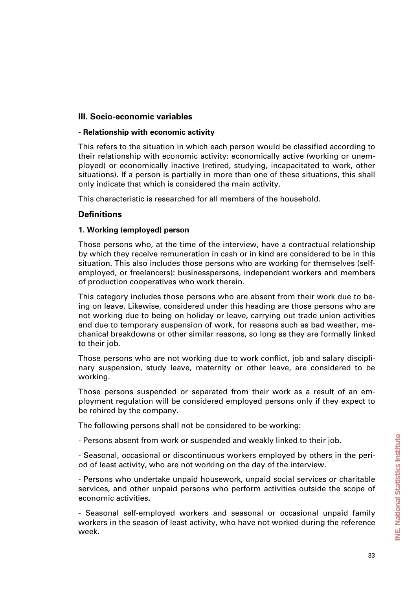# **III. Socio-economic variables**

#### **- Relationship with economic activity**

This refers to the situation in which each person would be classified according to their relationship with economic activity: economically active (working or unemployed) or economically inactive (retired, studying, incapacitated to work, other situations). If a person is partially in more than one of these situations, this shall only indicate that which is considered the main activity.

This characteristic is researched for all members of the household.

# **Definitions**

## **1. Working (employed) person**

Those persons who, at the time of the interview, have a contractual relationship by which they receive remuneration in cash or in kind are considered to be in this situation. This also includes those persons who are working for themselves (selfemployed, or freelancers): businesspersons, independent workers and members of production cooperatives who work therein.

This category includes those persons who are absent from their work due to being on leave. Likewise, considered under this heading are those persons who are not working due to being on holiday or leave, carrying out trade union activities and due to temporary suspension of work, for reasons such as bad weather, mechanical breakdowns or other similar reasons, so long as they are formally linked to their job.

Those persons who are not working due to work conflict, job and salary disciplinary suspension, study leave, maternity or other leave, are considered to be working.

Those persons suspended or separated from their work as a result of an employment regulation will be considered employed persons only if they expect to be rehired by the company.

The following persons shall not be considered to be working:

- Persons absent from work or suspended and weakly linked to their job.

- Seasonal, occasional or discontinuous workers employed by others in the period of least activity, who are not working on the day of the interview.

- Persons who undertake unpaid housework, unpaid social services or charitable services, and other unpaid persons who perform activities outside the scope of economic activities.

- Seasonal self-employed workers and seasonal or occasional unpaid family workers in the season of least activity, who have not worked during the reference week.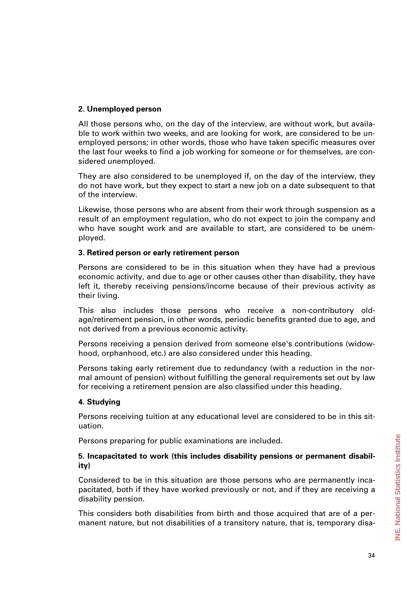# **2. Unemployed person**

All those persons who, on the day of the interview, are without work, but available to work within two weeks, and are looking for work, are considered to be unemployed persons; in other words, those who have taken specific measures over the last four weeks to find a job working for someone or for themselves, are considered unemployed.

They are also considered to be unemployed if, on the day of the interview, they do not have work, but they expect to start a new job on a date subsequent to that of the interview.

Likewise, those persons who are absent from their work through suspension as a result of an employment regulation, who do not expect to join the company and who have sought work and are available to start, are considered to be unemployed.

## **3. Retired person or early retirement person**

Persons are considered to be in this situation when they have had a previous economic activity, and due to age or other causes other than disability, they have left it, thereby receiving pensions/income because of their previous activity as their living.

This also includes those persons who receive a non-contributory oldage/retirement pension, in other words, periodic benefits granted due to age, and not derived from a previous economic activity.

Persons receiving a pension derived from someone else's contributions (widowhood, orphanhood, etc.) are also considered under this heading.

Persons taking early retirement due to redundancy (with a reduction in the normal amount of pension) without fulfilling the general requirements set out by law for receiving a retirement pension are also classified under this heading.

# **4. Studying**

Persons receiving tuition at any educational level are considered to be in this situation.

Persons preparing for public examinations are included.

#### **5. Incapacitated to work (this includes disability pensions or permanent disability)**

Considered to be in this situation are those persons who are permanently incapacitated, both if they have worked previously or not, and if they are receiving a disability pension.

This considers both disabilities from birth and those acquired that are of a permanent nature, but not disabilities of a transitory nature, that is, temporary disa-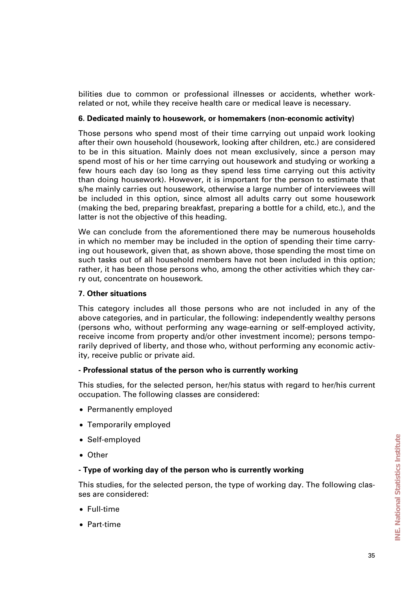bilities due to common or professional illnesses or accidents, whether workrelated or not, while they receive health care or medical leave is necessary.

#### **6. Dedicated mainly to housework, or homemakers (non-economic activity)**

Those persons who spend most of their time carrying out unpaid work looking after their own household (housework, looking after children, etc.) are considered to be in this situation. Mainly does not mean exclusively, since a person may spend most of his or her time carrying out housework and studying or working a few hours each day (so long as they spend less time carrying out this activity than doing housework). However, it is important for the person to estimate that s/he mainly carries out housework, otherwise a large number of interviewees will be included in this option, since almost all adults carry out some housework (making the bed, preparing breakfast, preparing a bottle for a child, etc.), and the latter is not the objective of this heading.

We can conclude from the aforementioned there may be numerous households in which no member may be included in the option of spending their time carrying out housework, given that, as shown above, those spending the most time on such tasks out of all household members have not been included in this option; rather, it has been those persons who, among the other activities which they carry out, concentrate on housework.

#### **7. Other situations**

This category includes all those persons who are not included in any of the above categories, and in particular, the following: independently wealthy persons (persons who, without performing any wage-earning or self-employed activity, receive income from property and/or other investment income); persons temporarily deprived of liberty, and those who, without performing any economic activity, receive public or private aid.

#### **- Professional status of the person who is currently working**

This studies, for the selected person, her/his status with regard to her/his current occupation. The following classes are considered:

- Permanently employed
- Temporarily employed
- Self-employed
- Other

#### **- Type of working day of the person who is currently working**

This studies, for the selected person, the type of working day. The following classes are considered:

- Full-time
- Part-time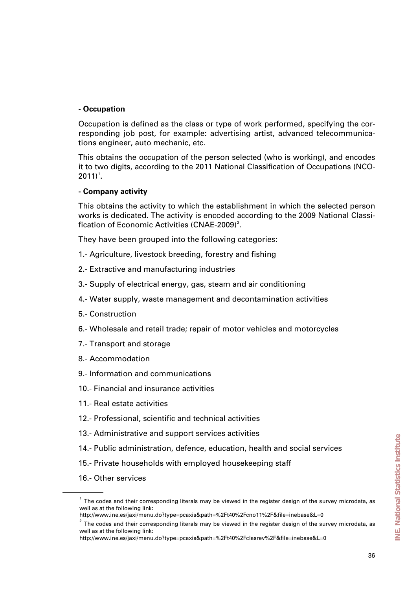## **- Occupation**

Occupation is defined as the class or type of work performed, specifying the corresponding job post, for example: advertising artist, advanced telecommunications engineer, auto mechanic, etc.

This obtains the occupation of the person selected (who is working), and encodes it to two digits, according to the 2011 National Classification of Occupations (NCO- $2011$  $2011$  $2011$ <sup>1</sup>.

## **- Company activity**

This obtains the activity to which the establishment in which the selected person works is dedicated. The activity is encoded according to the 2009 National Classi-fication of Economic Activities (CNAE-[2](#page-35-1)009)<sup>2</sup>.

They have been grouped into the following categories:

- 1.- Agriculture, livestock breeding, forestry and fishing
- 2.- Extractive and manufacturing industries
- 3.- Supply of electrical energy, gas, steam and air conditioning
- 4.- Water supply, waste management and decontamination activities
- 5.- Construction
- 6.- Wholesale and retail trade; repair of motor vehicles and motorcycles
- 7.- Transport and storage
- 8.- Accommodation
- 9.- Information and communications
- 10.- Financial and insurance activities
- 11.- Real estate activities
- 12.- Professional, scientific and technical activities
- 13.- Administrative and support services activities
- 14.- Public administration, defence, education, health and social services
- 15.- Private households with employed housekeeping staff
- 16.- Other services

<span id="page-35-0"></span> $<sup>1</sup>$  The codes and their corresponding literals may be viewed in the register design of the survey microdata, as</sup> well as at the following link:

<span id="page-35-1"></span>http://www.ine.es/jaxi/menu.do?type=pcaxis&path=%2Ft40%2Fcno11%2F&file=inebase&L=0

 $2$  The codes and their corresponding literals may be viewed in the register design of the survey microdata, as well as at the following link:

http://www.ine.es/jaxi/menu.do?type=pcaxis&path=%2Ft40%2Fclasrev%2F&file=inebase&L=0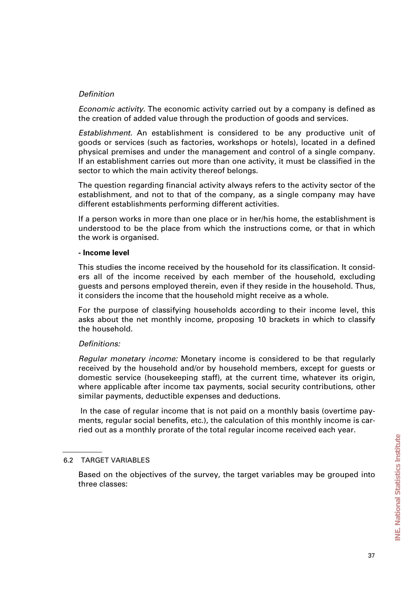## *Definition*

*Economic activity.* The economic activity carried out by a company is defined as the creation of added value through the production of goods and services.

*Establishment.* An establishment is considered to be any productive unit of goods or services (such as factories, workshops or hotels), located in a defined physical premises and under the management and control of a single company. If an establishment carries out more than one activity, it must be classified in the sector to which the main activity thereof belongs.

The question regarding financial activity always refers to the activity sector of the establishment, and not to that of the company, as a single company may have different establishments performing different activities.

If a person works in more than one place or in her/his home, the establishment is understood to be the place from which the instructions come, or that in which the work is organised.

#### **- Income level**

This studies the income received by the household for its classification. It considers all of the income received by each member of the household, excluding guests and persons employed therein, even if they reside in the household. Thus, it considers the income that the household might receive as a whole.

For the purpose of classifying households according to their income level, this asks about the net monthly income, proposing 10 brackets in which to classify the household.

### *Definitions:*

*Regular monetary income:* Monetary income is considered to be that regularly received by the household and/or by household members, except for guests or domestic service (housekeeping staff), at the current time, whatever its origin, where applicable after income tax payments, social security contributions, other similar payments, deductible expenses and deductions.

In the case of regular income that is not paid on a monthly basis (overtime payments, regular social benefits, etc.), the calculation of this monthly income is carried out as a monthly prorate of the total regular income received each year.

#### 6.2 TARGET VARIABLES

Based on the objectives of the survey, the target variables may be grouped into three classes: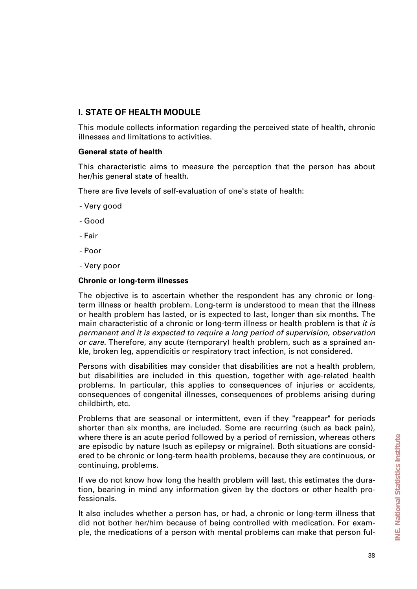# **I. STATE OF HEALTH MODULE**

This module collects information regarding the perceived state of health, chronic illnesses and limitations to activities.

### **General state of health**

This characteristic aims to measure the perception that the person has about her/his general state of health.

There are five levels of self-evaluation of one's state of health:

- Very good
- Good
- Fair
- Poor
- Very poor

### **Chronic or long-term illnesses**

The objective is to ascertain whether the respondent has any chronic or longterm illness or health problem. Long-term is understood to mean that the illness or health problem has lasted, or is expected to last, longer than six months. The main characteristic of a chronic or long-term illness or health problem is that *it is permanent and it is expected to require a long period of supervision, observation or care.* Therefore, any acute (temporary) health problem, such as a sprained ankle, broken leg, appendicitis or respiratory tract infection, is not considered.

Persons with disabilities may consider that disabilities are not a health problem, but disabilities are included in this question, together with age-related health problems. In particular, this applies to consequences of injuries or accidents, consequences of congenital illnesses, consequences of problems arising during childbirth, etc.

Problems that are seasonal or intermittent, even if they "reappear" for periods shorter than six months, are included. Some are recurring (such as back pain), where there is an acute period followed by a period of remission, whereas others are episodic by nature (such as epilepsy or migraine). Both situations are considered to be chronic or long-term health problems, because they are continuous, or continuing, problems.

If we do not know how long the health problem will last, this estimates the duration, bearing in mind any information given by the doctors or other health professionals.

It also includes whether a person has, or had, a chronic or long-term illness that did not bother her/him because of being controlled with medication. For example, the medications of a person with mental problems can make that person ful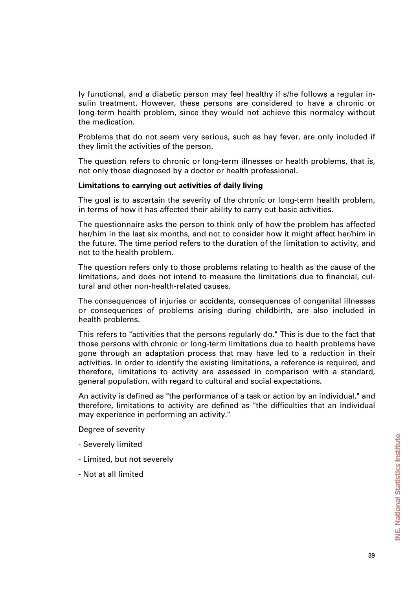ly functional, and a diabetic person may feel healthy if s/he follows a regular insulin treatment. However, these persons are considered to have a chronic or long-term health problem, since they would not achieve this normalcy without the medication.

Problems that do not seem very serious, such as hay fever, are only included if they limit the activities of the person.

The question refers to chronic or long-term illnesses or health problems, that is, not only those diagnosed by a doctor or health professional.

#### **Limitations to carrying out activities of daily living**

The goal is to ascertain the severity of the chronic or long-term health problem, in terms of how it has affected their ability to carry out basic activities.

The questionnaire asks the person to think only of how the problem has affected her/him in the last six months, and not to consider how it might affect her/him in the future. The time period refers to the duration of the limitation to activity, and not to the health problem.

The question refers only to those problems relating to health as the cause of the limitations, and does not intend to measure the limitations due to financial, cultural and other non-health-related causes.

The consequences of injuries or accidents, consequences of congenital illnesses or consequences of problems arising during childbirth, are also included in health problems.

This refers to "activities that the persons regularly do." This is due to the fact that those persons with chronic or long-term limitations due to health problems have gone through an adaptation process that may have led to a reduction in their activities. In order to identify the existing limitations, a reference is required, and therefore, limitations to activity are assessed in comparison with a standard, general population, with regard to cultural and social expectations.

An activity is defined as "the performance of a task or action by an individual," and therefore, limitations to activity are defined as "the difficulties that an individual may experience in performing an activity."

Degree of severity

- Severely limited
- Limited, but not severely
- Not at all limited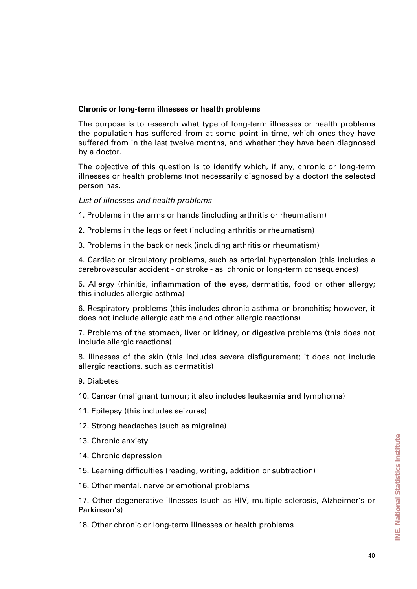### **Chronic or long-term illnesses or health problems**

The purpose is to research what type of long-term illnesses or health problems the population has suffered from at some point in time, which ones they have suffered from in the last twelve months, and whether they have been diagnosed by a doctor.

The objective of this question is to identify which, if any, chronic or long-term illnesses or health problems (not necessarily diagnosed by a doctor) the selected person has.

### *List of illnesses and health problems*

- 1. Problems in the arms or hands (including arthritis or rheumatism)
- 2. Problems in the legs or feet (including arthritis or rheumatism)
- 3. Problems in the back or neck (including arthritis or rheumatism)

4. Cardiac or circulatory problems, such as arterial hypertension (this includes a cerebrovascular accident - or stroke - as chronic or long-term consequences)

5. Allergy (rhinitis, inflammation of the eyes, dermatitis, food or other allergy; this includes allergic asthma)

6. Respiratory problems (this includes chronic asthma or bronchitis; however, it does not include allergic asthma and other allergic reactions)

7. Problems of the stomach, liver or kidney, or digestive problems (this does not include allergic reactions)

8. Illnesses of the skin (this includes severe disfigurement; it does not include allergic reactions, such as dermatitis)

9. Diabetes

10. Cancer (malignant tumour; it also includes leukaemia and lymphoma)

- 11. Epilepsy (this includes seizures)
- 12. Strong headaches (such as migraine)
- 13. Chronic anxiety
- 14. Chronic depression
- 15. Learning difficulties (reading, writing, addition or subtraction)
- 16. Other mental, nerve or emotional problems

17. Other degenerative illnesses (such as HIV, multiple sclerosis, Alzheimer's or Parkinson's)

18. Other chronic or long-term illnesses or health problems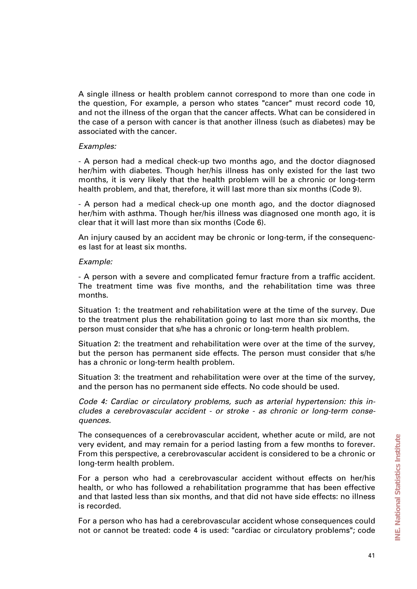A single illness or health problem cannot correspond to more than one code in the question, For example, a person who states "cancer" must record code 10, and not the illness of the organ that the cancer affects. What can be considered in the case of a person with cancer is that another illness (such as diabetes) may be associated with the cancer.

#### *Examples:*

- A person had a medical check-up two months ago, and the doctor diagnosed her/him with diabetes. Though her/his illness has only existed for the last two months, it is very likely that the health problem will be a chronic or long-term health problem, and that, therefore, it will last more than six months (Code 9).

- A person had a medical check-up one month ago, and the doctor diagnosed her/him with asthma. Though her/his illness was diagnosed one month ago, it is clear that it will last more than six months (Code 6).

An injury caused by an accident may be chronic or long-term, if the consequences last for at least six months.

#### *Example:*

- A person with a severe and complicated femur fracture from a traffic accident. The treatment time was five months, and the rehabilitation time was three months.

Situation 1: the treatment and rehabilitation were at the time of the survey. Due to the treatment plus the rehabilitation going to last more than six months, the person must consider that s/he has a chronic or long-term health problem.

Situation 2: the treatment and rehabilitation were over at the time of the survey, but the person has permanent side effects. The person must consider that s/he has a chronic or long-term health problem.

Situation 3: the treatment and rehabilitation were over at the time of the survey, and the person has no permanent side effects. No code should be used.

*Code 4: Cardiac or circulatory problems, such as arterial hypertension: this includes a cerebrovascular accident - or stroke - as chronic or long-term consequences.* 

The consequences of a cerebrovascular accident, whether acute or mild, are not very evident, and may remain for a period lasting from a few months to forever. From this perspective, a cerebrovascular accident is considered to be a chronic or long-term health problem.

For a person who had a cerebrovascular accident without effects on her/his health, or who has followed a rehabilitation programme that has been effective and that lasted less than six months, and that did not have side effects: no illness is recorded.

For a person who has had a cerebrovascular accident whose consequences could not or cannot be treated: code 4 is used: "cardiac or circulatory problems"; code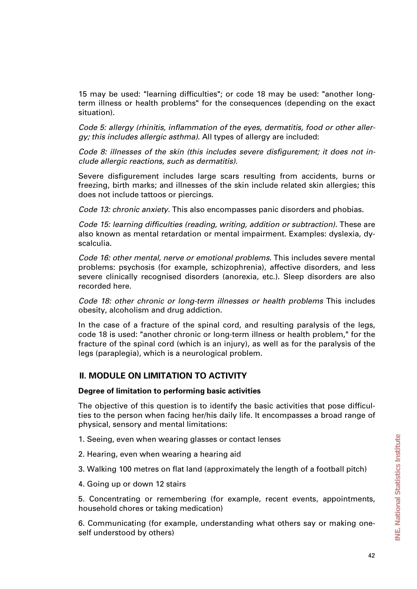15 may be used: "learning difficulties"; or code 18 may be used: "another longterm illness or health problems" for the consequences (depending on the exact situation).

*Code 5: allergy (rhinitis, inflammation of the eyes, dermatitis, food or other allergy; this includes allergic asthma).* All types of allergy are included:

*Code 8: illnesses of the skin (this includes severe disfigurement; it does not include allergic reactions, such as dermatitis).* 

Severe disfigurement includes large scars resulting from accidents, burns or freezing, birth marks; and illnesses of the skin include related skin allergies; this does not include tattoos or piercings.

*Code 13: chronic anxiety.* This also encompasses panic disorders and phobias.

*Code 15: learning difficulties (reading, writing, addition or subtraction).* These are also known as mental retardation or mental impairment. Examples: dyslexia, dyscalculia.

*Code 16: other mental, nerve or emotional problems.* This includes severe mental problems: psychosis (for example, schizophrenia), affective disorders, and less severe clinically recognised disorders (anorexia, etc.). Sleep disorders are also recorded here.

*Code 18: other chronic or long-term illnesses or health problems* This includes obesity, alcoholism and drug addiction.

In the case of a fracture of the spinal cord, and resulting paralysis of the legs, code 18 is used: "another chronic or long-term illness or health problem," for the fracture of the spinal cord (which is an injury), as well as for the paralysis of the legs (paraplegia), which is a neurological problem.

## **II. MODULE ON LIMITATION TO ACTIVITY**

#### **Degree of limitation to performing basic activities**

The objective of this question is to identify the basic activities that pose difficulties to the person when facing her/his daily life. It encompasses a broad range of physical, sensory and mental limitations:

- 1. Seeing, even when wearing glasses or contact lenses
- 2. Hearing, even when wearing a hearing aid
- 3. Walking 100 metres on flat land (approximately the length of a football pitch)
- 4. Going up or down 12 stairs

5. Concentrating or remembering (for example, recent events, appointments, household chores or taking medication)

6. Communicating (for example, understanding what others say or making oneself understood by others)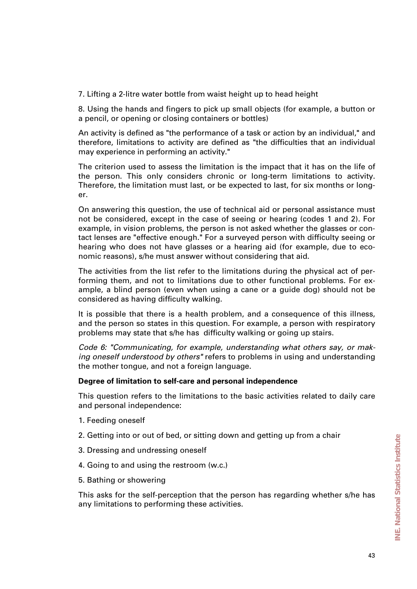7. Lifting a 2-litre water bottle from waist height up to head height

8. Using the hands and fingers to pick up small objects (for example, a button or a pencil, or opening or closing containers or bottles)

An activity is defined as "the performance of a task or action by an individual," and therefore, limitations to activity are defined as "the difficulties that an individual may experience in performing an activity."

The criterion used to assess the limitation is the impact that it has on the life of the person. This only considers chronic or long-term limitations to activity. Therefore, the limitation must last, or be expected to last, for six months or longer.

On answering this question, the use of technical aid or personal assistance must not be considered, except in the case of seeing or hearing (codes 1 and 2). For example, in vision problems, the person is not asked whether the glasses or contact lenses are "effective enough." For a surveyed person with difficulty seeing or hearing who does not have glasses or a hearing aid (for example, due to economic reasons), s/he must answer without considering that aid.

The activities from the list refer to the limitations during the physical act of performing them, and not to limitations due to other functional problems. For example, a blind person (even when using a cane or a guide dog) should not be considered as having difficulty walking.

It is possible that there is a health problem, and a consequence of this illness, and the person so states in this question. For example, a person with respiratory problems may state that s/he has difficulty walking or going up stairs.

*Code 6: "Communicating, for example, understanding what others say, or making oneself understood by others"* refers to problems in using and understanding the mother tongue, and not a foreign language.

### **Degree of limitation to self-care and personal independence**

This question refers to the limitations to the basic activities related to daily care and personal independence:

- 1. Feeding oneself
- 2. Getting into or out of bed, or sitting down and getting up from a chair
- 3. Dressing and undressing oneself
- 4. Going to and using the restroom (w.c.)
- 5. Bathing or showering

This asks for the self-perception that the person has regarding whether s/he has any limitations to performing these activities.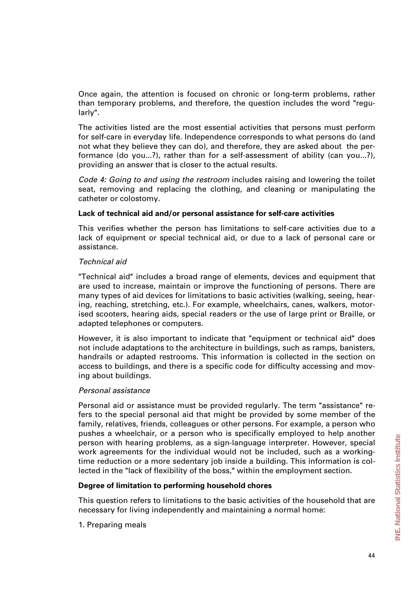Once again, the attention is focused on chronic or long-term problems, rather than temporary problems, and therefore, the question includes the word "regularly".

The activities listed are the most essential activities that persons must perform for self-care in everyday life. Independence corresponds to what persons do (and not what they believe they can do), and therefore, they are asked about the performance (do you...?), rather than for a self-assessment of ability (can you...?), providing an answer that is closer to the actual results.

*Code 4: Going to and using the restroom* includes raising and lowering the toilet seat, removing and replacing the clothing, and cleaning or manipulating the catheter or colostomy.

### **Lack of technical aid and/or personal assistance for self-care activities**

This verifies whether the person has limitations to self-care activities due to a lack of equipment or special technical aid, or due to a lack of personal care or assistance.

#### *Technical aid*

"Technical aid" includes a broad range of elements, devices and equipment that are used to increase, maintain or improve the functioning of persons. There are many types of aid devices for limitations to basic activities (walking, seeing, hearing, reaching, stretching, etc.). For example, wheelchairs, canes, walkers, motorised scooters, hearing aids, special readers or the use of large print or Braille, or adapted telephones or computers.

However, it is also important to indicate that "equipment or technical aid" does not include adaptations to the architecture in buildings, such as ramps, banisters, handrails or adapted restrooms. This information is collected in the section on access to buildings, and there is a specific code for difficulty accessing and moving about buildings.

#### *Personal assistance*

Personal aid or assistance must be provided regularly. The term "assistance" refers to the special personal aid that might be provided by some member of the family, relatives, friends, colleagues or other persons. For example, a person who pushes a wheelchair, or a person who is specifically employed to help another person with hearing problems, as a sign-language interpreter. However, special work agreements for the individual would not be included, such as a workingtime reduction or a more sedentary job inside a building. This information is collected in the "lack of flexibility of the boss," within the employment section.

### **Degree of limitation to performing household chores**

This question refers to limitations to the basic activities of the household that are necessary for living independently and maintaining a normal home:

1. Preparing meals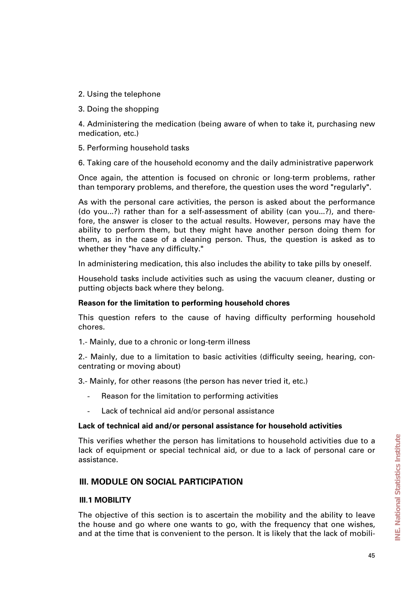- 2. Using the telephone
- 3. Doing the shopping

4. Administering the medication (being aware of when to take it, purchasing new medication, etc.)

- 5. Performing household tasks
- 6. Taking care of the household economy and the daily administrative paperwork

Once again, the attention is focused on chronic or long-term problems, rather than temporary problems, and therefore, the question uses the word "regularly".

As with the personal care activities, the person is asked about the performance (do you...?) rather than for a self-assessment of ability (can you...?), and therefore, the answer is closer to the actual results. However, persons may have the ability to perform them, but they might have another person doing them for them, as in the case of a cleaning person. Thus, the question is asked as to whether they "have any difficulty."

In administering medication, this also includes the ability to take pills by oneself.

Household tasks include activities such as using the vacuum cleaner, dusting or putting objects back where they belong.

### **Reason for the limitation to performing household chores**

This question refers to the cause of having difficulty performing household chores.

1.- Mainly, due to a chronic or long-term illness

2.- Mainly, due to a limitation to basic activities (difficulty seeing, hearing, concentrating or moving about)

3.- Mainly, for other reasons (the person has never tried it, etc.)

- Reason for the limitation to performing activities
- Lack of technical aid and/or personal assistance

#### **Lack of technical aid and/or personal assistance for household activities**

This verifies whether the person has limitations to household activities due to a lack of equipment or special technical aid, or due to a lack of personal care or assistance.

## **III. MODULE ON SOCIAL PARTICIPATION**

#### **III.1 MOBILITY**

The objective of this section is to ascertain the mobility and the ability to leave the house and go where one wants to go, with the frequency that one wishes, and at the time that is convenient to the person. It is likely that the lack of mobili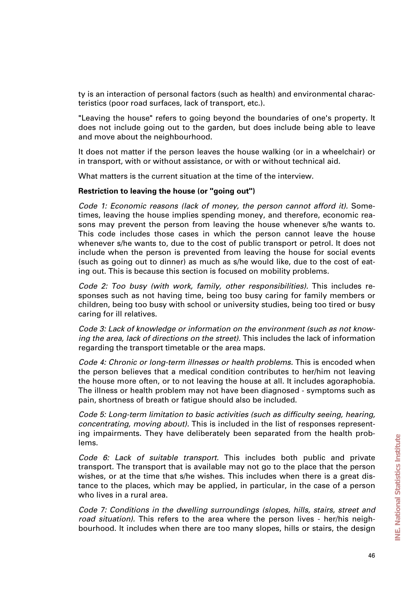ty is an interaction of personal factors (such as health) and environmental characteristics (poor road surfaces, lack of transport, etc.).

"Leaving the house" refers to going beyond the boundaries of one's property. It does not include going out to the garden, but does include being able to leave and move about the neighbourhood.

It does not matter if the person leaves the house walking (or in a wheelchair) or in transport, with or without assistance, or with or without technical aid.

What matters is the current situation at the time of the interview.

#### **Restriction to leaving the house (or "going out")**

*Code 1: Economic reasons (lack of money, the person cannot afford it).* Sometimes, leaving the house implies spending money, and therefore, economic reasons may prevent the person from leaving the house whenever s/he wants to. This code includes those cases in which the person cannot leave the house whenever s/he wants to, due to the cost of public transport or petrol. It does not include when the person is prevented from leaving the house for social events (such as going out to dinner) as much as s/he would like, due to the cost of eating out. This is because this section is focused on mobility problems.

*Code 2: Too busy (with work, family, other responsibilities).* This includes responses such as not having time, being too busy caring for family members or children, being too busy with school or university studies, being too tired or busy caring for ill relatives.

*Code 3: Lack of knowledge or information on the environment (such as not knowing the area, lack of directions on the street).* This includes the lack of information regarding the transport timetable or the area maps.

*Code 4: Chronic or long-term illnesses or health problems.* This is encoded when the person believes that a medical condition contributes to her/him not leaving the house more often, or to not leaving the house at all. It includes agoraphobia. The illness or health problem may not have been diagnosed - symptoms such as pain, shortness of breath or fatigue should also be included.

*Code 5: Long-term limitation to basic activities (such as difficulty seeing, hearing, concentrating, moving about).* This is included in the list of responses representing impairments. They have deliberately been separated from the health problems.

*Code 6: Lack of suitable transport.* This includes both public and private transport. The transport that is available may not go to the place that the person wishes, or at the time that s/he wishes. This includes when there is a great distance to the places, which may be applied, in particular, in the case of a person who lives in a rural area.

*Code 7: Conditions in the dwelling surroundings (slopes, hills, stairs, street and road situation).* This refers to the area where the person lives - her/his neighbourhood. It includes when there are too many slopes, hills or stairs, the design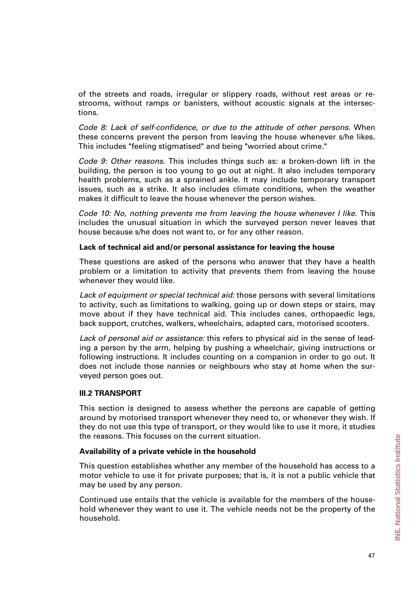of the streets and roads, irregular or slippery roads, without rest areas or restrooms, without ramps or banisters, without acoustic signals at the intersections.

*Code 8: Lack of self-confidence, or due to the attitude of other persons.* When these concerns prevent the person from leaving the house whenever s/he likes. This includes "feeling stigmatised" and being "worried about crime."

*Code 9: Other reasons.* This includes things such as: a broken-down lift in the building, the person is too young to go out at night. It also includes temporary health problems, such as a sprained ankle. It may include temporary transport issues, such as a strike. It also includes climate conditions, when the weather makes it difficult to leave the house whenever the person wishes.

*Code 10: No, nothing prevents me from leaving the house whenever I like.* This includes the unusual situation in which the surveyed person never leaves that house because s/he does not want to, or for any other reason.

#### **Lack of technical aid and/or personal assistance for leaving the house**

These questions are asked of the persons who answer that they have a health problem or a limitation to activity that prevents them from leaving the house whenever they would like.

*Lack of equipment or special technical aid:* those persons with several limitations to activity, such as limitations to walking, going up or down steps or stairs, may move about if they have technical aid. This includes canes, orthopaedic legs, back support, crutches, walkers, wheelchairs, adapted cars, motorised scooters.

*Lack of personal aid or assistance:* this refers to physical aid in the sense of leading a person by the arm, helping by pushing a wheelchair, giving instructions or following instructions. It includes counting on a companion in order to go out. It does not include those nannies or neighbours who stay at home when the surveyed person goes out.

### **III.2 TRANSPORT**

This section is designed to assess whether the persons are capable of getting around by motorised transport whenever they need to, or whenever they wish. If they do not use this type of transport, or they would like to use it more, it studies the reasons. This focuses on the current situation.

### **Availability of a private vehicle in the household**

This question establishes whether any member of the household has access to a motor vehicle to use it for private purposes; that is, it is not a public vehicle that may be used by any person.

Continued use entails that the vehicle is available for the members of the household whenever they want to use it. The vehicle needs not be the property of the household.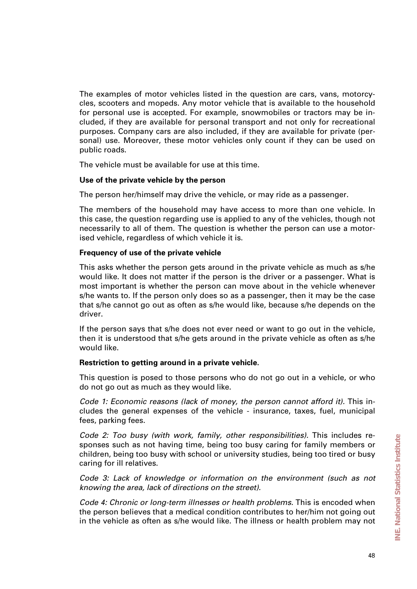The examples of motor vehicles listed in the question are cars, vans, motorcycles, scooters and mopeds. Any motor vehicle that is available to the household for personal use is accepted. For example, snowmobiles or tractors may be included, if they are available for personal transport and not only for recreational purposes. Company cars are also included, if they are available for private (personal) use. Moreover, these motor vehicles only count if they can be used on public roads.

The vehicle must be available for use at this time.

### **Use of the private vehicle by the person**

The person her/himself may drive the vehicle, or may ride as a passenger.

The members of the household may have access to more than one vehicle. In this case, the question regarding use is applied to any of the vehicles, though not necessarily to all of them. The question is whether the person can use a motorised vehicle, regardless of which vehicle it is.

### **Frequency of use of the private vehicle**

This asks whether the person gets around in the private vehicle as much as s/he would like. It does not matter if the person is the driver or a passenger. What is most important is whether the person can move about in the vehicle whenever s/he wants to. If the person only does so as a passenger, then it may be the case that s/he cannot go out as often as s/he would like, because s/he depends on the driver.

If the person says that s/he does not ever need or want to go out in the vehicle, then it is understood that s/he gets around in the private vehicle as often as s/he would like.

### **Restriction to getting around in a private vehicle.**

This question is posed to those persons who do not go out in a vehicle, or who do not go out as much as they would like.

*Code 1: Economic reasons (lack of money, the person cannot afford it).* This includes the general expenses of the vehicle - insurance, taxes, fuel, municipal fees, parking fees.

*Code 2: Too busy (with work, family, other responsibilities).* This includes responses such as not having time, being too busy caring for family members or children, being too busy with school or university studies, being too tired or busy caring for ill relatives.

*Code 3: Lack of knowledge or information on the environment (such as not knowing the area, lack of directions on the street).* 

*Code 4: Chronic or long-term illnesses or health problems.* This is encoded when the person believes that a medical condition contributes to her/him not going out in the vehicle as often as s/he would like. The illness or health problem may not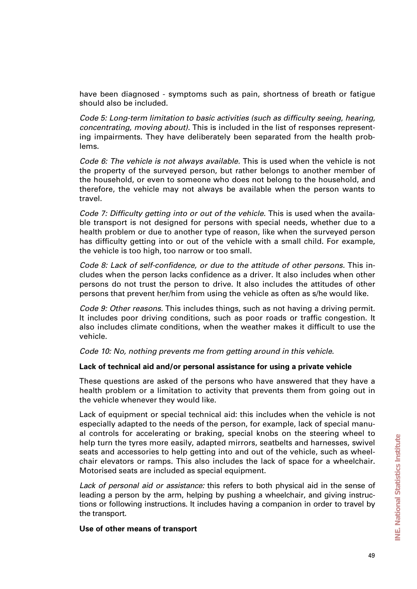have been diagnosed - symptoms such as pain, shortness of breath or fatigue should also be included.

*Code 5: Long-term limitation to basic activities (such as difficulty seeing, hearing, concentrating, moving about).* This is included in the list of responses representing impairments. They have deliberately been separated from the health problems.

*Code 6: The vehicle is not always available.* This is used when the vehicle is not the property of the surveyed person, but rather belongs to another member of the household, or even to someone who does not belong to the household, and therefore, the vehicle may not always be available when the person wants to travel.

*Code 7: Difficulty getting into or out of the vehicle.* This is used when the available transport is not designed for persons with special needs, whether due to a health problem or due to another type of reason, like when the surveyed person has difficulty getting into or out of the vehicle with a small child. For example, the vehicle is too high, too narrow or too small.

*Code 8: Lack of self-confidence, or due to the attitude of other persons.* This includes when the person lacks confidence as a driver. It also includes when other persons do not trust the person to drive. It also includes the attitudes of other persons that prevent her/him from using the vehicle as often as s/he would like.

*Code 9: Other reasons.* This includes things, such as not having a driving permit. It includes poor driving conditions, such as poor roads or traffic congestion. It also includes climate conditions, when the weather makes it difficult to use the vehicle.

*Code 10: No, nothing prevents me from getting around in this vehicle.*

### **Lack of technical aid and/or personal assistance for using a private vehicle**

These questions are asked of the persons who have answered that they have a health problem or a limitation to activity that prevents them from going out in the vehicle whenever they would like.

Lack of equipment or special technical aid: this includes when the vehicle is not especially adapted to the needs of the person, for example, lack of special manual controls for accelerating or braking, special knobs on the steering wheel to help turn the tyres more easily, adapted mirrors, seatbelts and harnesses, swivel seats and accessories to help getting into and out of the vehicle, such as wheelchair elevators or ramps. This also includes the lack of space for a wheelchair. Motorised seats are included as special equipment.

*Lack of personal aid or assistance:* this refers to both physical aid in the sense of leading a person by the arm, helping by pushing a wheelchair, and giving instructions or following instructions. It includes having a companion in order to travel by the transport.

#### **Use of other means of transport**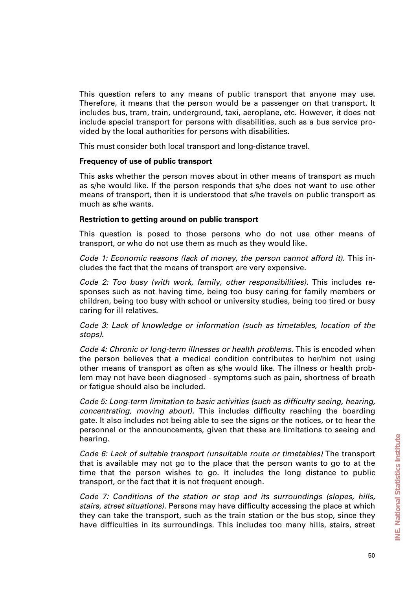This question refers to any means of public transport that anyone may use. Therefore, it means that the person would be a passenger on that transport. It includes bus, tram, train, underground, taxi, aeroplane, etc. However, it does not include special transport for persons with disabilities, such as a bus service provided by the local authorities for persons with disabilities.

This must consider both local transport and long-distance travel.

### **Frequency of use of public transport**

This asks whether the person moves about in other means of transport as much as s/he would like. If the person responds that s/he does not want to use other means of transport, then it is understood that s/he travels on public transport as much as s/he wants.

#### **Restriction to getting around on public transport**

This question is posed to those persons who do not use other means of transport, or who do not use them as much as they would like.

*Code 1: Economic reasons (lack of money, the person cannot afford it).* This includes the fact that the means of transport are very expensive.

*Code 2: Too busy (with work, family, other responsibilities).* This includes responses such as not having time, being too busy caring for family members or children, being too busy with school or university studies, being too tired or busy caring for ill relatives.

*Code 3: Lack of knowledge or information (such as timetables, location of the stops).* 

*Code 4: Chronic or long-term illnesses or health problems.* This is encoded when the person believes that a medical condition contributes to her/him not using other means of transport as often as s/he would like. The illness or health problem may not have been diagnosed - symptoms such as pain, shortness of breath or fatigue should also be included.

*Code 5: Long-term limitation to basic activities (such as difficulty seeing, hearing, concentrating, moving about).* This includes difficulty reaching the boarding gate. It also includes not being able to see the signs or the notices, or to hear the personnel or the announcements, given that these are limitations to seeing and hearing.

*Code 6: Lack of suitable transport (unsuitable route or timetables)* The transport that is available may not go to the place that the person wants to go to at the time that the person wishes to go. It includes the long distance to public transport, or the fact that it is not frequent enough.

*Code 7: Conditions of the station or stop and its surroundings (slopes, hills, stairs, street situations).* Persons may have difficulty accessing the place at which they can take the transport, such as the train station or the bus stop, since they have difficulties in its surroundings. This includes too many hills, stairs, street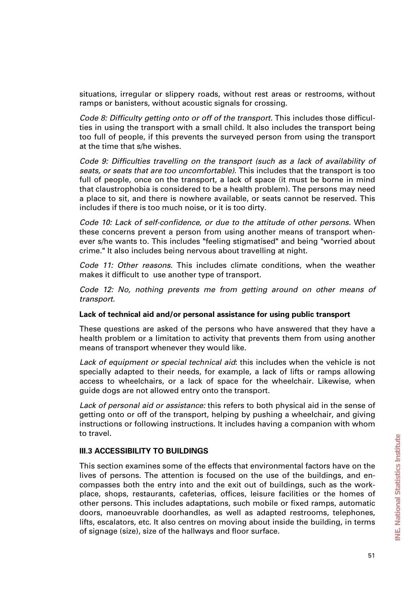situations, irregular or slippery roads, without rest areas or restrooms, without ramps or banisters, without acoustic signals for crossing.

*Code 8: Difficulty getting onto or off of the transport.* This includes those difficulties in using the transport with a small child. It also includes the transport being too full of people, if this prevents the surveyed person from using the transport at the time that s/he wishes.

*Code 9: Difficulties travelling on the transport (such as a lack of availability of seats, or seats that are too uncomfortable).* This includes that the transport is too full of people, once on the transport, a lack of space (it must be borne in mind that claustrophobia is considered to be a health problem). The persons may need a place to sit, and there is nowhere available, or seats cannot be reserved. This includes if there is too much noise, or it is too dirty.

*Code 10: Lack of self-confidence, or due to the attitude of other persons.* When these concerns prevent a person from using another means of transport whenever s/he wants to. This includes "feeling stigmatised" and being "worried about crime." It also includes being nervous about travelling at night.

*Code 11: Other reasons.* This includes climate conditions, when the weather makes it difficult to use another type of transport.

*Code 12: No, nothing prevents me from getting around on other means of transport.*

#### **Lack of technical aid and/or personal assistance for using public transport**

These questions are asked of the persons who have answered that they have a health problem or a limitation to activity that prevents them from using another means of transport whenever they would like.

*Lack of equipment or special technical aid*: this includes when the vehicle is not specially adapted to their needs, for example, a lack of lifts or ramps allowing access to wheelchairs, or a lack of space for the wheelchair. Likewise, when guide dogs are not allowed entry onto the transport.

*Lack of personal aid or assistance:* this refers to both physical aid in the sense of getting onto or off of the transport, helping by pushing a wheelchair, and giving instructions or following instructions. It includes having a companion with whom to travel.

### **III.3 ACCESSIBILITY TO BUILDINGS**

This section examines some of the effects that environmental factors have on the lives of persons. The attention is focused on the use of the buildings, and encompasses both the entry into and the exit out of buildings, such as the workplace, shops, restaurants, cafeterias, offices, leisure facilities or the homes of other persons. This includes adaptations, such mobile or fixed ramps, automatic doors, manoeuvrable doorhandles, as well as adapted restrooms, telephones, lifts, escalators, etc. It also centres on moving about inside the building, in terms of signage (size), size of the hallways and floor surface.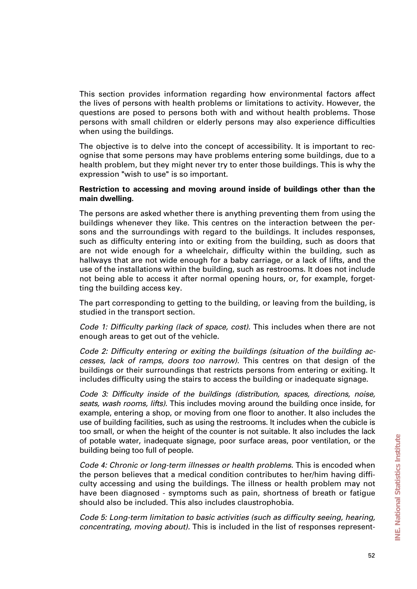This section provides information regarding how environmental factors affect the lives of persons with health problems or limitations to activity. However, the questions are posed to persons both with and without health problems. Those persons with small children or elderly persons may also experience difficulties when using the buildings.

The objective is to delve into the concept of accessibility. It is important to recognise that some persons may have problems entering some buildings, due to a health problem, but they might never try to enter those buildings. This is why the expression "wish to use" is so important.

#### **Restriction to accessing and moving around inside of buildings other than the main dwelling.**

The persons are asked whether there is anything preventing them from using the buildings whenever they like. This centres on the interaction between the persons and the surroundings with regard to the buildings. It includes responses, such as difficulty entering into or exiting from the building, such as doors that are not wide enough for a wheelchair, difficulty within the building, such as hallways that are not wide enough for a baby carriage, or a lack of lifts, and the use of the installations within the building, such as restrooms. It does not include not being able to access it after normal opening hours, or, for example, forgetting the building access key.

The part corresponding to getting to the building, or leaving from the building, is studied in the transport section.

*Code 1: Difficulty parking (lack of space, cost).* This includes when there are not enough areas to get out of the vehicle.

*Code 2: Difficulty entering or exiting the buildings (situation of the building accesses, lack of ramps, doors too narrow).* This centres on that design of the buildings or their surroundings that restricts persons from entering or exiting. It includes difficulty using the stairs to access the building or inadequate signage.

*Code 3: Difficulty inside of the buildings (distribution, spaces, directions, noise, seats, wash rooms, lifts).* This includes moving around the building once inside, for example, entering a shop, or moving from one floor to another. It also includes the use of building facilities, such as using the restrooms. It includes when the cubicle is too small, or when the height of the counter is not suitable. It also includes the lack of potable water, inadequate signage, poor surface areas, poor ventilation, or the building being too full of people.

*Code 4: Chronic or long-term illnesses or health problems.* This is encoded when the person believes that a medical condition contributes to her/him having difficulty accessing and using the buildings. The illness or health problem may not have been diagnosed - symptoms such as pain, shortness of breath or fatigue should also be included. This also includes claustrophobia.

*Code 5: Long-term limitation to basic activities (such as difficulty seeing, hearing, concentrating, moving about).* This is included in the list of responses represent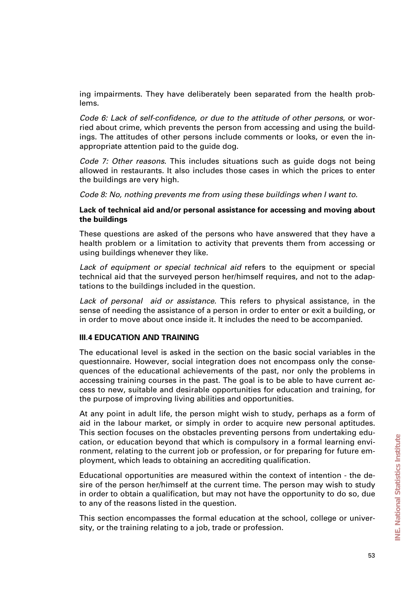ing impairments. They have deliberately been separated from the health problems.

*Code 6: Lack of self-confidence, or due to the attitude of other persons*, or worried about crime, which prevents the person from accessing and using the buildings. The attitudes of other persons include comments or looks, or even the inappropriate attention paid to the guide dog.

*Code 7: Other reasons.* This includes situations such as guide dogs not being allowed in restaurants. It also includes those cases in which the prices to enter the buildings are very high.

*Code 8: No, nothing prevents me from using these buildings when I want to.*

#### **Lack of technical aid and/or personal assistance for accessing and moving about the buildings**

These questions are asked of the persons who have answered that they have a health problem or a limitation to activity that prevents them from accessing or using buildings whenever they like.

*Lack of equipment or special technical aid* refers to the equipment or special technical aid that the surveyed person her/himself requires, and not to the adaptations to the buildings included in the question.

*Lack of personal aid or assistance.* This refers to physical assistance, in the sense of needing the assistance of a person in order to enter or exit a building, or in order to move about once inside it. It includes the need to be accompanied.

### **III.4 EDUCATION AND TRAINING**

The educational level is asked in the section on the basic social variables in the questionnaire. However, social integration does not encompass only the consequences of the educational achievements of the past, nor only the problems in accessing training courses in the past. The goal is to be able to have current access to new, suitable and desirable opportunities for education and training, for the purpose of improving living abilities and opportunities.

At any point in adult life, the person might wish to study, perhaps as a form of aid in the labour market, or simply in order to acquire new personal aptitudes. This section focuses on the obstacles preventing persons from undertaking education, or education beyond that which is compulsory in a formal learning environment, relating to the current job or profession, or for preparing for future employment, which leads to obtaining an accrediting qualification.

Educational opportunities are measured within the context of intention - the desire of the person her/himself at the current time. The person may wish to study in order to obtain a qualification, but may not have the opportunity to do so, due to any of the reasons listed in the question.

This section encompasses the formal education at the school, college or university, or the training relating to a job, trade or profession.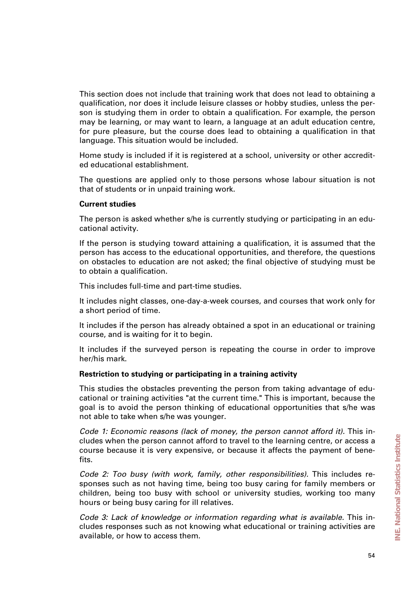This section does not include that training work that does not lead to obtaining a qualification, nor does it include leisure classes or hobby studies, unless the person is studying them in order to obtain a qualification. For example, the person may be learning, or may want to learn, a language at an adult education centre, for pure pleasure, but the course does lead to obtaining a qualification in that language. This situation would be included.

Home study is included if it is registered at a school, university or other accredited educational establishment.

The questions are applied only to those persons whose labour situation is not that of students or in unpaid training work.

#### **Current studies**

The person is asked whether s/he is currently studying or participating in an educational activity.

If the person is studying toward attaining a qualification, it is assumed that the person has access to the educational opportunities, and therefore, the questions on obstacles to education are not asked; the final objective of studying must be to obtain a qualification.

This includes full-time and part-time studies.

It includes night classes, one-day-a-week courses, and courses that work only for a short period of time.

It includes if the person has already obtained a spot in an educational or training course, and is waiting for it to begin.

It includes if the surveyed person is repeating the course in order to improve her/his mark.

### **Restriction to studying or participating in a training activity**

This studies the obstacles preventing the person from taking advantage of educational or training activities "at the current time." This is important, because the goal is to avoid the person thinking of educational opportunities that s/he was not able to take when s/he was younger.

*Code 1: Economic reasons (lack of money, the person cannot afford it).* This includes when the person cannot afford to travel to the learning centre, or access a course because it is very expensive, or because it affects the payment of benefits.

*Code 2: Too busy (with work, family, other responsibilities).* This includes responses such as not having time, being too busy caring for family members or children, being too busy with school or university studies, working too many hours or being busy caring for ill relatives.

*Code 3: Lack of knowledge or information regarding what is available.* This includes responses such as not knowing what educational or training activities are available, or how to access them.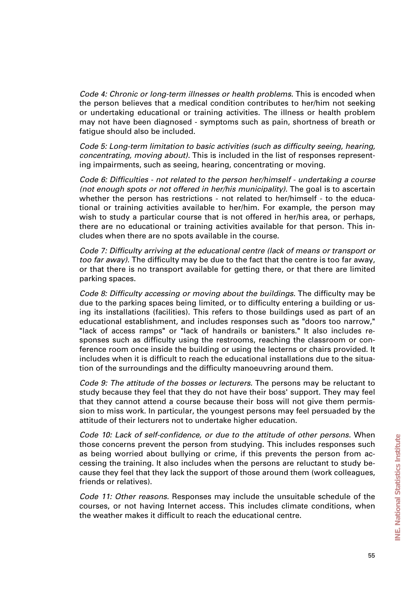*Code 4: Chronic or long-term illnesses or health problems.* This is encoded when the person believes that a medical condition contributes to her/him not seeking or undertaking educational or training activities. The illness or health problem may not have been diagnosed - symptoms such as pain, shortness of breath or fatigue should also be included.

*Code 5: Long-term limitation to basic activities (such as difficulty seeing, hearing, concentrating, moving about).* This is included in the list of responses representing impairments, such as seeing, hearing, concentrating or moving.

*Code 6: Difficulties - not related to the person her/himself - undertaking a course (not enough spots or not offered in her/his municipality).* The goal is to ascertain whether the person has restrictions - not related to her/himself - to the educational or training activities available to her/him. For example, the person may wish to study a particular course that is not offered in her/his area, or perhaps, there are no educational or training activities available for that person. This includes when there are no spots available in the course.

*Code 7: Difficulty arriving at the educational centre (lack of means or transport or too far away).* The difficulty may be due to the fact that the centre is too far away, or that there is no transport available for getting there, or that there are limited parking spaces.

*Code 8: Difficulty accessing or moving about the buildings.* The difficulty may be due to the parking spaces being limited, or to difficulty entering a building or using its installations (facilities). This refers to those buildings used as part of an educational establishment, and includes responses such as "doors too narrow," "lack of access ramps" or "lack of handrails or banisters." It also includes responses such as difficulty using the restrooms, reaching the classroom or conference room once inside the building or using the lecterns or chairs provided. It includes when it is difficult to reach the educational installations due to the situation of the surroundings and the difficulty manoeuvring around them.

*Code 9: The attitude of the bosses or lecturers.* The persons may be reluctant to study because they feel that they do not have their boss' support. They may feel that they cannot attend a course because their boss will not give them permission to miss work. In particular, the youngest persons may feel persuaded by the attitude of their lecturers not to undertake higher education.

*Code 10: Lack of self-confidence, or due to the attitude of other persons.* When those concerns prevent the person from studying. This includes responses such as being worried about bullying or crime, if this prevents the person from accessing the training. It also includes when the persons are reluctant to study because they feel that they lack the support of those around them (work colleagues, friends or relatives).

*Code 11: Other reasons.* Responses may include the unsuitable schedule of the courses, or not having Internet access. This includes climate conditions, when the weather makes it difficult to reach the educational centre.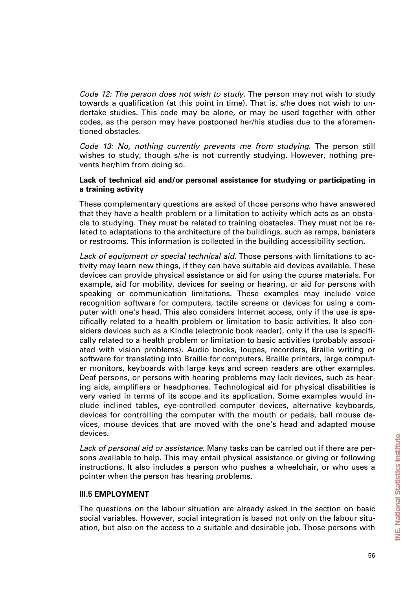*Code 12: The person does not wish to study.* The person may not wish to study towards a qualification (at this point in time). That is, s/he does not wish to undertake studies. This code may be alone, or may be used together with other codes, as the person may have postponed her/his studies due to the aforementioned obstacles.

*Code 13: No, nothing currently prevents me from studying.* The person still wishes to study, though s/he is not currently studying. However, nothing prevents her/him from doing so.

### **Lack of technical aid and/or personal assistance for studying or participating in a training activity**

These complementary questions are asked of those persons who have answered that they have a health problem or a limitation to activity which acts as an obstacle to studying. They must be related to training obstacles. They must not be related to adaptations to the architecture of the buildings, such as ramps, banisters or restrooms. This information is collected in the building accessibility section.

*Lack of equipment or special technical aid.* Those persons with limitations to activity may learn new things, if they can have suitable aid devices available. These devices can provide physical assistance or aid for using the course materials. For example, aid for mobility, devices for seeing or hearing, or aid for persons with speaking or communication limitations. These examples may include voice recognition software for computers, tactile screens or devices for using a computer with one's head. This also considers Internet access, only if the use is specifically related to a health problem or limitation to basic activities. It also considers devices such as a Kindle (electronic book reader), only if the use is specifically related to a health problem or limitation to basic activities (probably associated with vision problems). Audio books, loupes, recorders, Braille writing or software for translating into Braille for computers, Braille printers, large computer monitors, keyboards with large keys and screen readers are other examples. Deaf persons, or persons with hearing problems may lack devices, such as hearing aids, amplifiers or headphones. Technological aid for physical disabilities is very varied in terms of its scope and its application. Some examples would include inclined tables, eye-controlled computer devices, alternative keyboards, devices for controlling the computer with the mouth or pedals, ball mouse devices, mouse devices that are moved with the one's head and adapted mouse devices.

*Lack of personal aid or assistance.* Many tasks can be carried out if there are persons available to help. This may entail physical assistance or giving or following instructions. It also includes a person who pushes a wheelchair, or who uses a pointer when the person has hearing problems.

### **III.5 EMPLOYMENT**

The questions on the labour situation are already asked in the section on basic social variables. However, social integration is based not only on the labour situation, but also on the access to a suitable and desirable job. Those persons with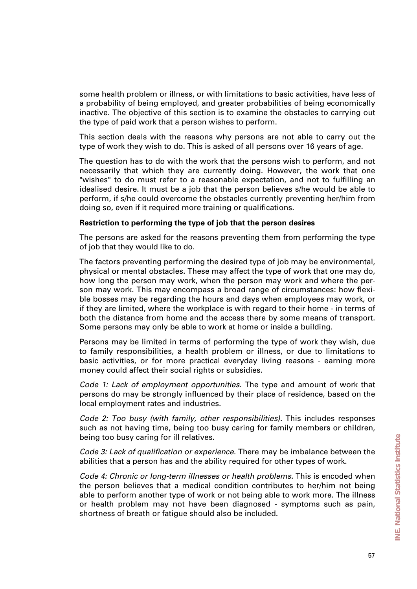some health problem or illness, or with limitations to basic activities, have less of a probability of being employed, and greater probabilities of being economically inactive. The objective of this section is to examine the obstacles to carrying out the type of paid work that a person wishes to perform.

This section deals with the reasons why persons are not able to carry out the type of work they wish to do. This is asked of all persons over 16 years of age.

The question has to do with the work that the persons wish to perform, and not necessarily that which they are currently doing. However, the work that one "wishes" to do must refer to a reasonable expectation, and not to fulfilling an idealised desire. It must be a job that the person believes s/he would be able to perform, if s/he could overcome the obstacles currently preventing her/him from doing so, even if it required more training or qualifications.

#### **Restriction to performing the type of job that the person desires**

The persons are asked for the reasons preventing them from performing the type of job that they would like to do.

The factors preventing performing the desired type of job may be environmental, physical or mental obstacles. These may affect the type of work that one may do, how long the person may work, when the person may work and where the person may work. This may encompass a broad range of circumstances: how flexible bosses may be regarding the hours and days when employees may work, or if they are limited, where the workplace is with regard to their home - in terms of both the distance from home and the access there by some means of transport. Some persons may only be able to work at home or inside a building.

Persons may be limited in terms of performing the type of work they wish, due to family responsibilities, a health problem or illness, or due to limitations to basic activities, or for more practical everyday living reasons - earning more money could affect their social rights or subsidies.

*Code 1: Lack of employment opportunities.* The type and amount of work that persons do may be strongly influenced by their place of residence, based on the local employment rates and industries.

*Code 2: Too busy (with family, other responsibilities).* This includes responses such as not having time, being too busy caring for family members or children, being too busy caring for ill relatives.

*Code 3: Lack of qualification or experience.* There may be imbalance between the abilities that a person has and the ability required for other types of work.

*Code 4: Chronic or long-term illnesses or health problems.* This is encoded when the person believes that a medical condition contributes to her/him not being able to perform another type of work or not being able to work more. The illness or health problem may not have been diagnosed - symptoms such as pain, shortness of breath or fatigue should also be included.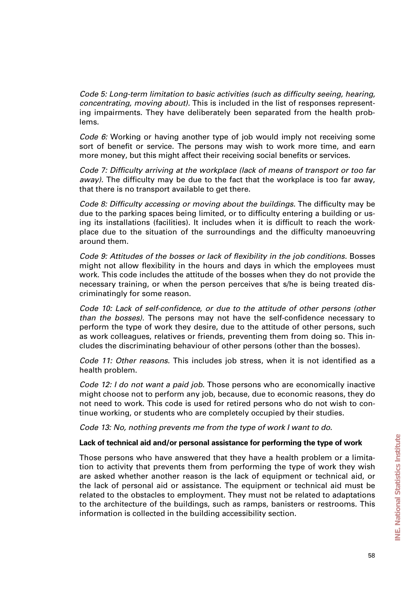*Code 5: Long-term limitation to basic activities (such as difficulty seeing, hearing, concentrating, moving about).* This is included in the list of responses representing impairments. They have deliberately been separated from the health problems.

*Code 6:* Working or having another type of job would imply not receiving some sort of benefit or service. The persons may wish to work more time, and earn more money, but this might affect their receiving social benefits or services.

*Code 7: Difficulty arriving at the workplace (lack of means of transport or too far away).* The difficulty may be due to the fact that the workplace is too far away, that there is no transport available to get there.

*Code 8: Difficulty accessing or moving about the buildings.* The difficulty may be due to the parking spaces being limited, or to difficulty entering a building or using its installations (facilities). It includes when it is difficult to reach the workplace due to the situation of the surroundings and the difficulty manoeuvring around them.

*Code 9: Attitudes of the bosses or lack of flexibility in the job conditions.* Bosses might not allow flexibility in the hours and days in which the employees must work. This code includes the attitude of the bosses when they do not provide the necessary training, or when the person perceives that s/he is being treated discriminatingly for some reason.

*Code 10: Lack of self-confidence, or due to the attitude of other persons (other than the bosses).* The persons may not have the self-confidence necessary to perform the type of work they desire, due to the attitude of other persons, such as work colleagues, relatives or friends, preventing them from doing so. This includes the discriminating behaviour of other persons (other than the bosses).

*Code 11: Other reasons.* This includes job stress, when it is not identified as a health problem.

*Code 12: I do not want a paid job.* Those persons who are economically inactive might choose not to perform any job, because, due to economic reasons, they do not need to work. This code is used for retired persons who do not wish to continue working, or students who are completely occupied by their studies.

*Code 13: No, nothing prevents me from the type of work I want to do.*

### **Lack of technical aid and/or personal assistance for performing the type of work**

Those persons who have answered that they have a health problem or a limitation to activity that prevents them from performing the type of work they wish are asked whether another reason is the lack of equipment or technical aid, or the lack of personal aid or assistance. The equipment or technical aid must be related to the obstacles to employment. They must not be related to adaptations to the architecture of the buildings, such as ramps, banisters or restrooms. This information is collected in the building accessibility section.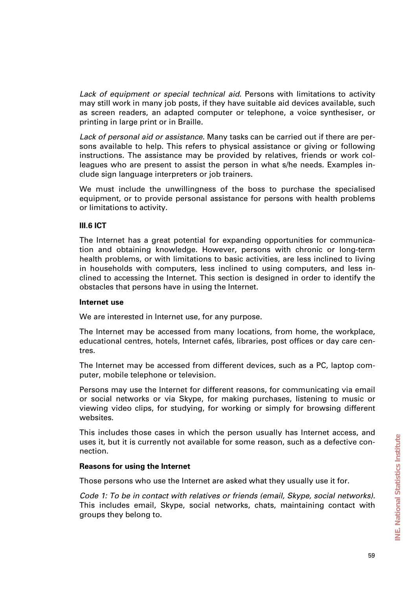*Lack of equipment or special technical aid.* Persons with limitations to activity may still work in many job posts, if they have suitable aid devices available, such as screen readers, an adapted computer or telephone, a voice synthesiser, or printing in large print or in Braille.

*Lack of personal aid or assistance.* Many tasks can be carried out if there are persons available to help. This refers to physical assistance or giving or following instructions. The assistance may be provided by relatives, friends or work colleagues who are present to assist the person in what s/he needs. Examples include sign language interpreters or job trainers.

We must include the unwillingness of the boss to purchase the specialised equipment, or to provide personal assistance for persons with health problems or limitations to activity.

### **III.6 ICT**

The Internet has a great potential for expanding opportunities for communication and obtaining knowledge. However, persons with chronic or long-term health problems, or with limitations to basic activities, are less inclined to living in households with computers, less inclined to using computers, and less inclined to accessing the Internet. This section is designed in order to identify the obstacles that persons have in using the Internet.

### **Internet use**

We are interested in Internet use, for any purpose.

The Internet may be accessed from many locations, from home, the workplace, educational centres, hotels, Internet cafés, libraries, post offices or day care centres.

The Internet may be accessed from different devices, such as a PC, laptop computer, mobile telephone or television.

Persons may use the Internet for different reasons, for communicating via email or social networks or via Skype, for making purchases, listening to music or viewing video clips, for studying, for working or simply for browsing different websites.

This includes those cases in which the person usually has Internet access, and uses it, but it is currently not available for some reason, such as a defective connection.

### **Reasons for using the Internet**

Those persons who use the Internet are asked what they usually use it for.

*Code 1: To be in contact with relatives or friends (email, Skype, social networks).* This includes email, Skype, social networks, chats, maintaining contact with groups they belong to.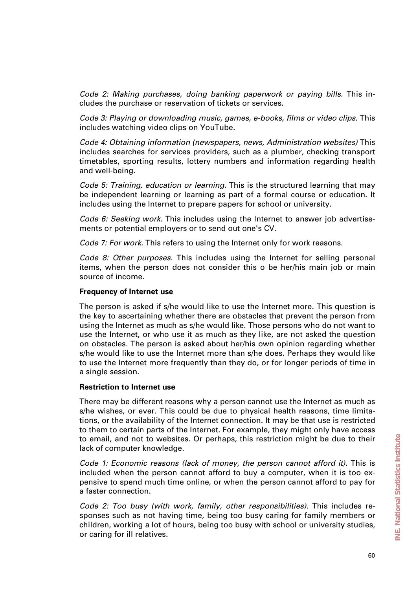*Code 2: Making purchases, doing banking paperwork or paying bills.* This includes the purchase or reservation of tickets or services.

*Code 3: Playing or downloading music, games, e-books, films or video clips.* This includes watching video clips on YouTube.

*Code 4: Obtaining information (newspapers, news, Administration websites)* This includes searches for services providers, such as a plumber, checking transport timetables, sporting results, lottery numbers and information regarding health and well-being.

*Code 5: Training, education or learning.* This is the structured learning that may be independent learning or learning as part of a formal course or education. It includes using the Internet to prepare papers for school or university.

*Code 6: Seeking work.* This includes using the Internet to answer job advertisements or potential employers or to send out one's CV.

*Code 7: For work.* This refers to using the Internet only for work reasons.

*Code 8: Other purposes.* This includes using the Internet for selling personal items, when the person does not consider this o be her/his main job or main source of income.

#### **Frequency of Internet use**

The person is asked if s/he would like to use the Internet more. This question is the key to ascertaining whether there are obstacles that prevent the person from using the Internet as much as s/he would like. Those persons who do not want to use the Internet, or who use it as much as they like, are not asked the question on obstacles. The person is asked about her/his own opinion regarding whether s/he would like to use the Internet more than s/he does. Perhaps they would like to use the Internet more frequently than they do, or for longer periods of time in a single session.

#### **Restriction to Internet use**

There may be different reasons why a person cannot use the Internet as much as s/he wishes, or ever. This could be due to physical health reasons, time limitations, or the availability of the Internet connection. It may be that use is restricted to them to certain parts of the Internet. For example, they might only have access to email, and not to websites. Or perhaps, this restriction might be due to their lack of computer knowledge.

*Code 1: Economic reasons (lack of money, the person cannot afford it).* This is included when the person cannot afford to buy a computer, when it is too expensive to spend much time online, or when the person cannot afford to pay for a faster connection.

*Code 2: Too busy (with work, family, other responsibilities).* This includes responses such as not having time, being too busy caring for family members or children, working a lot of hours, being too busy with school or university studies, or caring for ill relatives.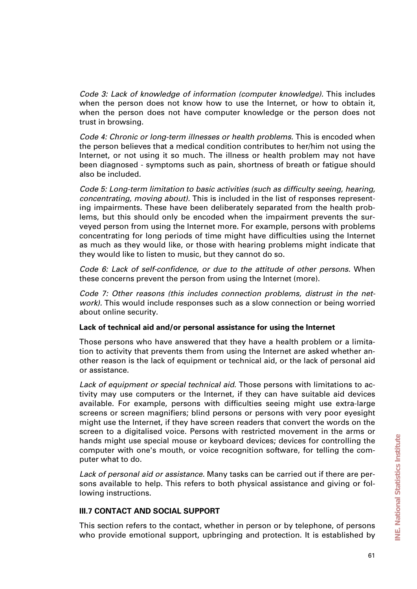*Code 3: Lack of knowledge of information (computer knowledge).* This includes when the person does not know how to use the Internet, or how to obtain it, when the person does not have computer knowledge or the person does not trust in browsing.

*Code 4: Chronic or long-term illnesses or health problems.* This is encoded when the person believes that a medical condition contributes to her/him not using the Internet, or not using it so much. The illness or health problem may not have been diagnosed - symptoms such as pain, shortness of breath or fatigue should also be included.

*Code 5: Long-term limitation to basic activities (such as difficulty seeing, hearing, concentrating, moving about).* This is included in the list of responses representing impairments. These have been deliberately separated from the health problems, but this should only be encoded when the impairment prevents the surveyed person from using the Internet more. For example, persons with problems concentrating for long periods of time might have difficulties using the Internet as much as they would like, or those with hearing problems might indicate that they would like to listen to music, but they cannot do so.

*Code 6: Lack of self-confidence, or due to the attitude of other persons.* When these concerns prevent the person from using the Internet (more).

*Code 7: Other reasons (this includes connection problems, distrust in the network).* This would include responses such as a slow connection or being worried about online security.

### **Lack of technical aid and/or personal assistance for using the Internet**

Those persons who have answered that they have a health problem or a limitation to activity that prevents them from using the Internet are asked whether another reason is the lack of equipment or technical aid, or the lack of personal aid or assistance.

*Lack of equipment or special technical aid.* Those persons with limitations to activity may use computers or the Internet, if they can have suitable aid devices available. For example, persons with difficulties seeing might use extra-large screens or screen magnifiers; blind persons or persons with very poor eyesight might use the Internet, if they have screen readers that convert the words on the screen to a digitalised voice. Persons with restricted movement in the arms or hands might use special mouse or keyboard devices; devices for controlling the computer with one's mouth, or voice recognition software, for telling the computer what to do.

*Lack of personal aid or assistance.* Many tasks can be carried out if there are persons available to help. This refers to both physical assistance and giving or following instructions.

## **III.7 CONTACT AND SOCIAL SUPPORT**

This section refers to the contact, whether in person or by telephone, of persons who provide emotional support, upbringing and protection. It is established by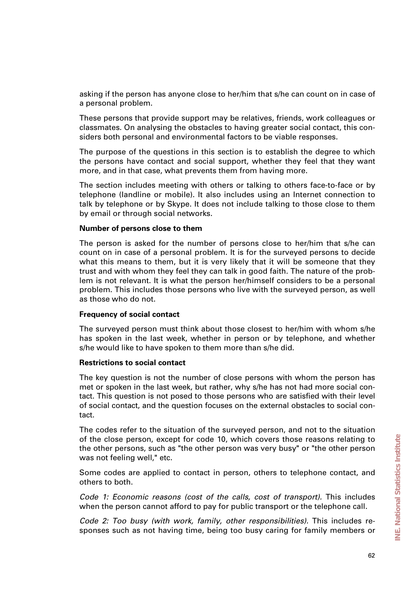asking if the person has anyone close to her/him that s/he can count on in case of a personal problem.

These persons that provide support may be relatives, friends, work colleagues or classmates. On analysing the obstacles to having greater social contact, this considers both personal and environmental factors to be viable responses.

The purpose of the questions in this section is to establish the degree to which the persons have contact and social support, whether they feel that they want more, and in that case, what prevents them from having more.

The section includes meeting with others or talking to others face-to-face or by telephone (landline or mobile). It also includes using an Internet connection to talk by telephone or by Skype. It does not include talking to those close to them by email or through social networks.

#### **Number of persons close to them**

The person is asked for the number of persons close to her/him that s/he can count on in case of a personal problem. It is for the surveyed persons to decide what this means to them, but it is very likely that it will be someone that they trust and with whom they feel they can talk in good faith. The nature of the problem is not relevant. It is what the person her/himself considers to be a personal problem. This includes those persons who live with the surveyed person, as well as those who do not.

#### **Frequency of social contact**

The surveyed person must think about those closest to her/him with whom s/he has spoken in the last week, whether in person or by telephone, and whether s/he would like to have spoken to them more than s/he did.

#### **Restrictions to social contact**

The key question is not the number of close persons with whom the person has met or spoken in the last week, but rather, why s/he has not had more social contact. This question is not posed to those persons who are satisfied with their level of social contact, and the question focuses on the external obstacles to social contact.

The codes refer to the situation of the surveyed person, and not to the situation of the close person, except for code 10, which covers those reasons relating to the other persons, such as "the other person was very busy" or "the other person was not feeling well," etc.

Some codes are applied to contact in person, others to telephone contact, and others to both.

*Code 1: Economic reasons (cost of the calls, cost of transport).* This includes when the person cannot afford to pay for public transport or the telephone call.

*Code 2: Too busy (with work, family, other responsibilities).* This includes responses such as not having time, being too busy caring for family members or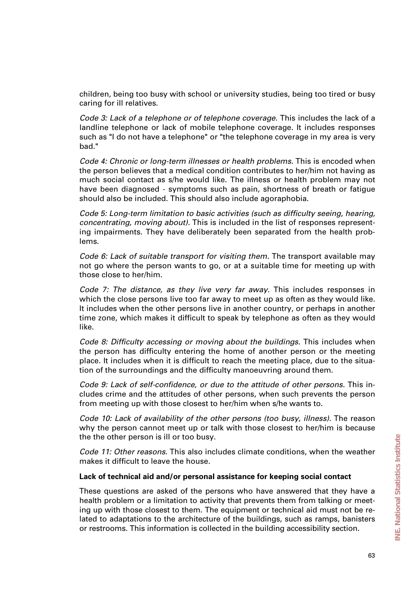children, being too busy with school or university studies, being too tired or busy caring for ill relatives.

*Code 3: Lack of a telephone or of telephone coverage.* This includes the lack of a landline telephone or lack of mobile telephone coverage. It includes responses such as "I do not have a telephone" or "the telephone coverage in my area is very bad."

*Code 4: Chronic or long-term illnesses or health problems.* This is encoded when the person believes that a medical condition contributes to her/him not having as much social contact as s/he would like. The illness or health problem may not have been diagnosed - symptoms such as pain, shortness of breath or fatigue should also be included. This should also include agoraphobia.

*Code 5: Long-term limitation to basic activities (such as difficulty seeing, hearing, concentrating, moving about).* This is included in the list of responses representing impairments. They have deliberately been separated from the health problems.

*Code 6: Lack of suitable transport for visiting them.* The transport available may not go where the person wants to go, or at a suitable time for meeting up with those close to her/him.

*Code 7: The distance, as they live very far away.* This includes responses in which the close persons live too far away to meet up as often as they would like. It includes when the other persons live in another country, or perhaps in another time zone, which makes it difficult to speak by telephone as often as they would like.

*Code 8: Difficulty accessing or moving about the buildings.* This includes when the person has difficulty entering the home of another person or the meeting place. It includes when it is difficult to reach the meeting place, due to the situation of the surroundings and the difficulty manoeuvring around them.

*Code 9: Lack of self-confidence, or due to the attitude of other persons.* This includes crime and the attitudes of other persons, when such prevents the person from meeting up with those closest to her/him when s/he wants to.

*Code 10: Lack of availability of the other persons (too busy, illness).* The reason why the person cannot meet up or talk with those closest to her/him is because the the other person is ill or too busy.

*Code 11: Other reasons.* This also includes climate conditions, when the weather makes it difficult to leave the house.

#### **Lack of technical aid and/or personal assistance for keeping social contact**

These questions are asked of the persons who have answered that they have a health problem or a limitation to activity that prevents them from talking or meeting up with those closest to them. The equipment or technical aid must not be related to adaptations to the architecture of the buildings, such as ramps, banisters or restrooms. This information is collected in the building accessibility section.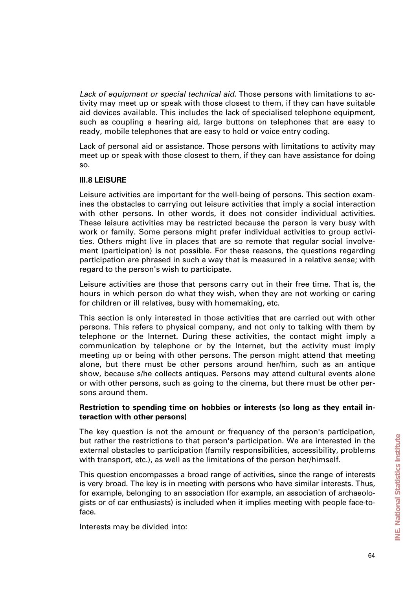*Lack of equipment or special technical aid.* Those persons with limitations to activity may meet up or speak with those closest to them, if they can have suitable aid devices available. This includes the lack of specialised telephone equipment, such as coupling a hearing aid, large buttons on telephones that are easy to ready, mobile telephones that are easy to hold or voice entry coding.

Lack of personal aid or assistance. Those persons with limitations to activity may meet up or speak with those closest to them, if they can have assistance for doing so.

### **III.8 LEISURE**

Leisure activities are important for the well-being of persons. This section examines the obstacles to carrying out leisure activities that imply a social interaction with other persons. In other words, it does not consider individual activities. These leisure activities may be restricted because the person is very busy with work or family. Some persons might prefer individual activities to group activities. Others might live in places that are so remote that regular social involvement (participation) is not possible. For these reasons, the questions regarding participation are phrased in such a way that is measured in a relative sense; with regard to the person's wish to participate.

Leisure activities are those that persons carry out in their free time. That is, the hours in which person do what they wish, when they are not working or caring for children or ill relatives, busy with homemaking, etc.

This section is only interested in those activities that are carried out with other persons. This refers to physical company, and not only to talking with them by telephone or the Internet. During these activities, the contact might imply a communication by telephone or by the Internet, but the activity must imply meeting up or being with other persons. The person might attend that meeting alone, but there must be other persons around her/him, such as an antique show, because s/he collects antiques. Persons may attend cultural events alone or with other persons, such as going to the cinema, but there must be other persons around them.

### **Restriction to spending time on hobbies or interests (so long as they entail interaction with other persons)**

The key question is not the amount or frequency of the person's participation, but rather the restrictions to that person's participation. We are interested in the external obstacles to participation (family responsibilities, accessibility, problems with transport, etc.), as well as the limitations of the person her/himself.

This question encompasses a broad range of activities, since the range of interests is very broad. The key is in meeting with persons who have similar interests. Thus, for example, belonging to an association (for example, an association of archaeologists or of car enthusiasts) is included when it implies meeting with people face-toface.

Interests may be divided into: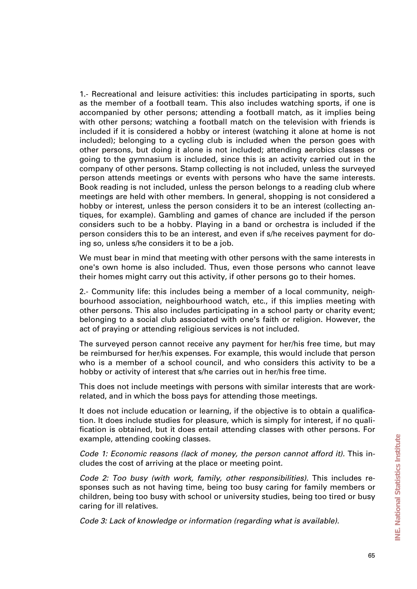1.- Recreational and leisure activities: this includes participating in sports, such as the member of a football team. This also includes watching sports, if one is accompanied by other persons; attending a football match, as it implies being with other persons; watching a football match on the television with friends is included if it is considered a hobby or interest (watching it alone at home is not included); belonging to a cycling club is included when the person goes with other persons, but doing it alone is not included; attending aerobics classes or going to the gymnasium is included, since this is an activity carried out in the company of other persons. Stamp collecting is not included, unless the surveyed person attends meetings or events with persons who have the same interests. Book reading is not included, unless the person belongs to a reading club where meetings are held with other members. In general, shopping is not considered a hobby or interest, unless the person considers it to be an interest (collecting antiques, for example). Gambling and games of chance are included if the person considers such to be a hobby. Playing in a band or orchestra is included if the person considers this to be an interest, and even if s/he receives payment for doing so, unless s/he considers it to be a job.

We must bear in mind that meeting with other persons with the same interests in one's own home is also included. Thus, even those persons who cannot leave their homes might carry out this activity, if other persons go to their homes.

2.- Community life: this includes being a member of a local community, neighbourhood association, neighbourhood watch, etc., if this implies meeting with other persons. This also includes participating in a school party or charity event; belonging to a social club associated with one's faith or religion. However, the act of praying or attending religious services is not included.

The surveyed person cannot receive any payment for her/his free time, but may be reimbursed for her/his expenses. For example, this would include that person who is a member of a school council, and who considers this activity to be a hobby or activity of interest that s/he carries out in her/his free time.

This does not include meetings with persons with similar interests that are workrelated, and in which the boss pays for attending those meetings.

It does not include education or learning, if the objective is to obtain a qualification. It does include studies for pleasure, which is simply for interest, if no qualification is obtained, but it does entail attending classes with other persons. For example, attending cooking classes.

*Code 1: Economic reasons (lack of money, the person cannot afford it).* This includes the cost of arriving at the place or meeting point.

*Code 2: Too busy (with work, family, other responsibilities).* This includes responses such as not having time, being too busy caring for family members or children, being too busy with school or university studies, being too tired or busy caring for ill relatives.

*Code 3: Lack of knowledge or information (regarding what is available).*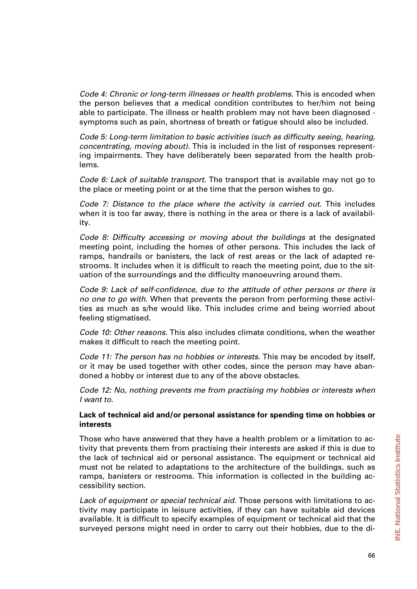*Code 4: Chronic or long-term illnesses or health problems.* This is encoded when the person believes that a medical condition contributes to her/him not being able to participate. The illness or health problem may not have been diagnosed symptoms such as pain, shortness of breath or fatigue should also be included.

*Code 5: Long-term limitation to basic activities (such as difficulty seeing, hearing, concentrating, moving about).* This is included in the list of responses representing impairments. They have deliberately been separated from the health problems.

*Code 6: Lack of suitable transport.* The transport that is available may not go to the place or meeting point or at the time that the person wishes to go.

*Code 7: Distance to the place where the activity is carried out.* This includes when it is too far away, there is nothing in the area or there is a lack of availability.

*Code 8: Difficulty accessing or moving about the buildings* at the designated meeting point, including the homes of other persons. This includes the lack of ramps, handrails or banisters, the lack of rest areas or the lack of adapted restrooms. It includes when it is difficult to reach the meeting point, due to the situation of the surroundings and the difficulty manoeuvring around them.

*Code 9: Lack of self-confidence, due to the attitude of other persons or there is no one to go with.* When that prevents the person from performing these activities as much as s/he would like. This includes crime and being worried about feeling stigmatised.

*Code 10: Other reasons.* This also includes climate conditions, when the weather makes it difficult to reach the meeting point.

*Code 11: The person has no hobbies or interests.* This may be encoded by itself, or it may be used together with other codes, since the person may have abandoned a hobby or interest due to any of the above obstacles.

*Code 12: No, nothing prevents me from practising my hobbies or interests when I want to.* 

### **Lack of technical aid and/or personal assistance for spending time on hobbies or interests**

Those who have answered that they have a health problem or a limitation to activity that prevents them from practising their interests are asked if this is due to the lack of technical aid or personal assistance. The equipment or technical aid must not be related to adaptations to the architecture of the buildings, such as ramps, banisters or restrooms. This information is collected in the building accessibility section.

*Lack of equipment or special technical aid.* Those persons with limitations to activity may participate in leisure activities, if they can have suitable aid devices available. It is difficult to specify examples of equipment or technical aid that the surveyed persons might need in order to carry out their hobbies, due to the di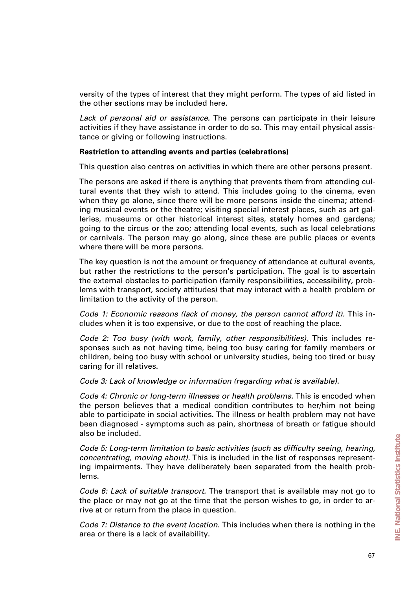versity of the types of interest that they might perform. The types of aid listed in the other sections may be included here.

*Lack of personal aid or assistance.* The persons can participate in their leisure activities if they have assistance in order to do so. This may entail physical assistance or giving or following instructions.

#### **Restriction to attending events and parties (celebrations)**

This question also centres on activities in which there are other persons present.

The persons are asked if there is anything that prevents them from attending cultural events that they wish to attend. This includes going to the cinema, even when they go alone, since there will be more persons inside the cinema; attending musical events or the theatre; visiting special interest places, such as art galleries, museums or other historical interest sites, stately homes and gardens; going to the circus or the zoo; attending local events, such as local celebrations or carnivals. The person may go along, since these are public places or events where there will be more persons.

The key question is not the amount or frequency of attendance at cultural events, but rather the restrictions to the person's participation. The goal is to ascertain the external obstacles to participation (family responsibilities, accessibility, problems with transport, society attitudes) that may interact with a health problem or limitation to the activity of the person.

*Code 1: Economic reasons (lack of money, the person cannot afford it).* This includes when it is too expensive, or due to the cost of reaching the place.

*Code 2: Too busy (with work, family, other responsibilities).* This includes responses such as not having time, being too busy caring for family members or children, being too busy with school or university studies, being too tired or busy caring for ill relatives.

*Code 3: Lack of knowledge or information (regarding what is available).*

*Code 4: Chronic or long-term illnesses or health problems.* This is encoded when the person believes that a medical condition contributes to her/him not being able to participate in social activities. The illness or health problem may not have been diagnosed - symptoms such as pain, shortness of breath or fatigue should also be included.

*Code 5: Long-term limitation to basic activities (such as difficulty seeing, hearing, concentrating, moving about).* This is included in the list of responses representing impairments. They have deliberately been separated from the health problems.

*Code 6: Lack of suitable transport.* The transport that is available may not go to the place or may not go at the time that the person wishes to go, in order to arrive at or return from the place in question.

*Code 7: Distance to the event location.* This includes when there is nothing in the area or there is a lack of availability.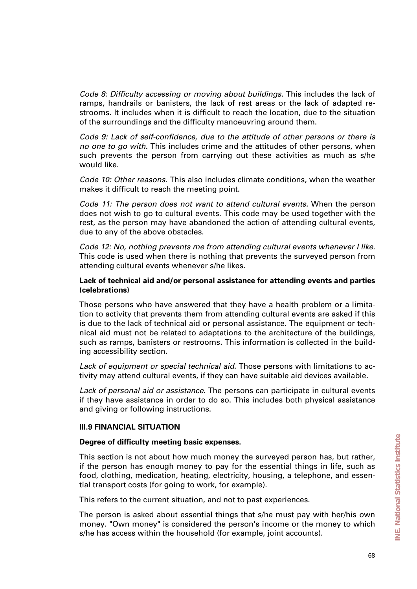*Code 8: Difficulty accessing or moving about buildings.* This includes the lack of ramps, handrails or banisters, the lack of rest areas or the lack of adapted restrooms. It includes when it is difficult to reach the location, due to the situation of the surroundings and the difficulty manoeuvring around them.

*Code 9: Lack of self-confidence, due to the attitude of other persons or there is no one to go with.* This includes crime and the attitudes of other persons, when such prevents the person from carrying out these activities as much as s/he would like.

*Code 10: Other reasons.* This also includes climate conditions, when the weather makes it difficult to reach the meeting point.

*Code 11: The person does not want to attend cultural events.* When the person does not wish to go to cultural events. This code may be used together with the rest, as the person may have abandoned the action of attending cultural events, due to any of the above obstacles.

*Code 12: No, nothing prevents me from attending cultural events whenever I like.* This code is used when there is nothing that prevents the surveyed person from attending cultural events whenever s/he likes.

### **Lack of technical aid and/or personal assistance for attending events and parties (celebrations)**

Those persons who have answered that they have a health problem or a limitation to activity that prevents them from attending cultural events are asked if this is due to the lack of technical aid or personal assistance. The equipment or technical aid must not be related to adaptations to the architecture of the buildings, such as ramps, banisters or restrooms. This information is collected in the building accessibility section.

*Lack of equipment or special technical aid.* Those persons with limitations to activity may attend cultural events, if they can have suitable aid devices available.

*Lack of personal aid or assistance.* The persons can participate in cultural events if they have assistance in order to do so. This includes both physical assistance and giving or following instructions.

### **III.9 FINANCIAL SITUATION**

### **Degree of difficulty meeting basic expenses.**

This section is not about how much money the surveyed person has, but rather, if the person has enough money to pay for the essential things in life, such as food, clothing, medication, heating, electricity, housing, a telephone, and essential transport costs (for going to work, for example).

This refers to the current situation, and not to past experiences.

The person is asked about essential things that s/he must pay with her/his own money. "Own money" is considered the person's income or the money to which s/he has access within the household (for example, joint accounts).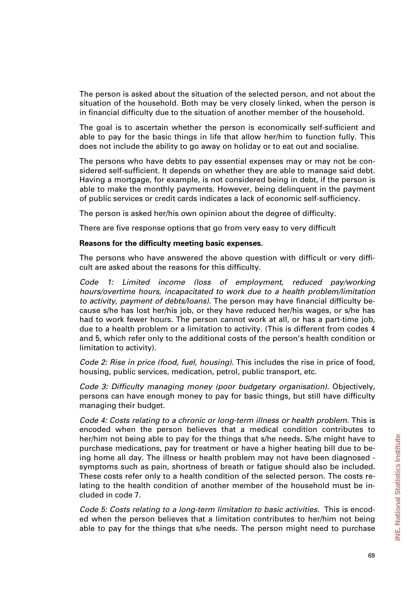The person is asked about the situation of the selected person, and not about the situation of the household. Both may be very closely linked, when the person is in financial difficulty due to the situation of another member of the household.

The goal is to ascertain whether the person is economically self-sufficient and able to pay for the basic things in life that allow her/him to function fully. This does not include the ability to go away on holiday or to eat out and socialise.

The persons who have debts to pay essential expenses may or may not be considered self-sufficient. It depends on whether they are able to manage said debt. Having a mortgage, for example, is not considered being in debt, if the person is able to make the monthly payments. However, being delinquent in the payment of public services or credit cards indicates a lack of economic self-sufficiency.

The person is asked her/his own opinion about the degree of difficulty.

There are five response options that go from very easy to very difficult

#### **Reasons for the difficulty meeting basic expenses.**

The persons who have answered the above question with difficult or very difficult are asked about the reasons for this difficulty.

*Code 1: Limited income (loss of employment, reduced pay/working hours/overtime hours, incapacitated to work due to a health problem/limitation to activity, payment of debts/loans).* The person may have financial difficulty because s/he has lost her/his job, or they have reduced her/his wages, or s/he has had to work fewer hours. The person cannot work at all, or has a part-time job, due to a health problem or a limitation to activity. (This is different from codes 4 and 5, which refer only to the additional costs of the person's health condition or limitation to activity).

*Code 2: Rise in price (food, fuel, housing).* This includes the rise in price of food, housing, public services, medication, petrol, public transport, etc.

*Code 3: Difficulty managing money (poor budgetary organisation).* Objectively, persons can have enough money to pay for basic things, but still have difficulty managing their budget.

*Code 4: Costs relating to a chronic or long-term illness or health problem.* This is encoded when the person believes that a medical condition contributes to her/him not being able to pay for the things that s/he needs. S/he might have to purchase medications, pay for treatment or have a higher heating bill due to being home all day. The illness or health problem may not have been diagnosed symptoms such as pain, shortness of breath or fatigue should also be included. These costs refer only to a health condition of the selected person. The costs relating to the health condition of another member of the household must be included in code 7.

*Code 5: Costs relating to a long-term limitation to basic activities.* This is encoded when the person believes that a limitation contributes to her/him not being able to pay for the things that s/he needs. The person might need to purchase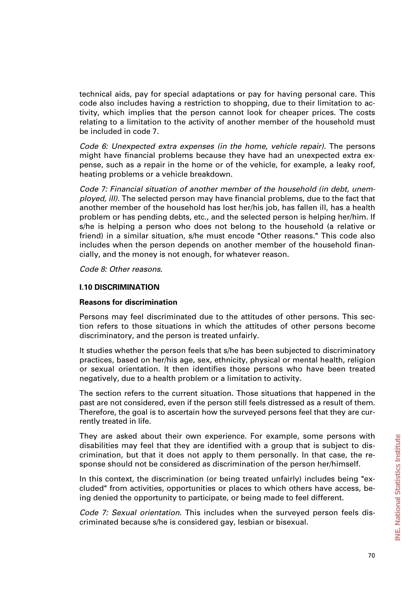technical aids, pay for special adaptations or pay for having personal care. This code also includes having a restriction to shopping, due to their limitation to activity, which implies that the person cannot look for cheaper prices. The costs relating to a limitation to the activity of another member of the household must be included in code 7.

*Code 6: Unexpected extra expenses (in the home, vehicle repair).* The persons might have financial problems because they have had an unexpected extra expense, such as a repair in the home or of the vehicle, for example, a leaky roof, heating problems or a vehicle breakdown.

*Code 7: Financial situation of another member of the household (in debt, unemployed, ill).* The selected person may have financial problems, due to the fact that another member of the household has lost her/his job, has fallen ill, has a health problem or has pending debts, etc., and the selected person is helping her/him. If s/he is helping a person who does not belong to the household (a relative or friend) in a similar situation, s/he must encode "Other reasons." This code also includes when the person depends on another member of the household financially, and the money is not enough, for whatever reason.

*Code 8: Other reasons.*

#### **I.10 DISCRIMINATION**

#### **Reasons for discrimination**

Persons may feel discriminated due to the attitudes of other persons. This section refers to those situations in which the attitudes of other persons become discriminatory, and the person is treated unfairly.

It studies whether the person feels that s/he has been subjected to discriminatory practices, based on her/his age, sex, ethnicity, physical or mental health, religion or sexual orientation. It then identifies those persons who have been treated negatively, due to a health problem or a limitation to activity.

The section refers to the current situation. Those situations that happened in the past are not considered, even if the person still feels distressed as a result of them. Therefore, the goal is to ascertain how the surveyed persons feel that they are currently treated in life.

They are asked about their own experience. For example, some persons with disabilities may feel that they are identified with a group that is subject to discrimination, but that it does not apply to them personally. In that case, the response should not be considered as discrimination of the person her/himself.

In this context, the discrimination (or being treated unfairly) includes being "excluded" from activities, opportunities or places to which others have access, being denied the opportunity to participate, or being made to feel different.

*Code 7: Sexual orientation.* This includes when the surveyed person feels discriminated because s/he is considered gay, lesbian or bisexual.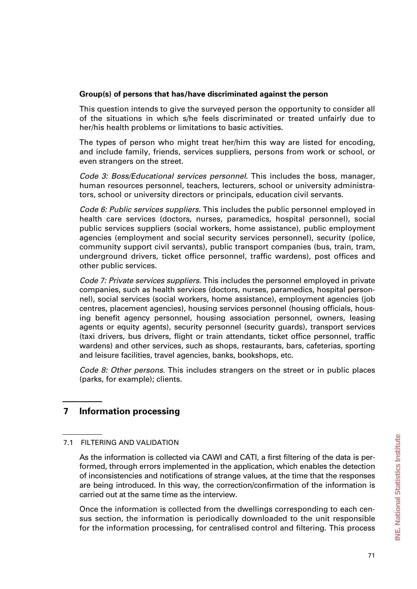### **Group(s) of persons that has/have discriminated against the person**

This question intends to give the surveyed person the opportunity to consider all of the situations in which s/he feels discriminated or treated unfairly due to her/his health problems or limitations to basic activities.

The types of person who might treat her/him this way are listed for encoding, and include family, friends, services suppliers, persons from work or school, or even strangers on the street.

*Code 3: Boss/Educational services personnel.* This includes the boss, manager, human resources personnel, teachers, lecturers, school or university administrators, school or university directors or principals, education civil servants.

*Code 6: Public services suppliers.* This includes the public personnel employed in health care services (doctors, nurses, paramedics, hospital personnel), social public services suppliers (social workers, home assistance), public employment agencies (employment and social security services personnel), security (police, community support civil servants), public transport companies (bus, train, tram, underground drivers, ticket office personnel, traffic wardens), post offices and other public services.

*Code 7: Private services suppliers.* This includes the personnel employed in private companies, such as health services (doctors, nurses, paramedics, hospital personnel), social services (social workers, home assistance), employment agencies (job centres, placement agencies), housing services personnel (housing officials, housing benefit agency personnel, housing association personnel, owners, leasing agents or equity agents), security personnel (security guards), transport services (taxi drivers, bus drivers, flight or train attendants, ticket office personnel, traffic wardens) and other services, such as shops, restaurants, bars, cafeterias, sporting and leisure facilities, travel agencies, banks, bookshops, etc.

*Code 8: Other persons.* This includes strangers on the street or in public places (parks, for example); clients.

# **7 Information processing**

### 7.1 FILTERING AND VALIDATION

As the information is collected via CAWI and CATI, a first filtering of the data is performed, through errors implemented in the application, which enables the detection of inconsistencies and notifications of strange values, at the time that the responses are being introduced. In this way, the correction/confirmation of the information is carried out at the same time as the interview.

Once the information is collected from the dwellings corresponding to each census section, the information is periodically downloaded to the unit responsible for the information processing, for centralised control and filtering. This process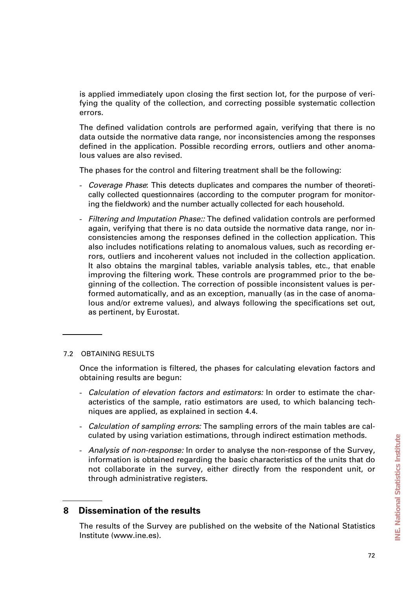is applied immediately upon closing the first section lot, for the purpose of verifying the quality of the collection, and correcting possible systematic collection errors.

The defined validation controls are performed again, verifying that there is no data outside the normative data range, nor inconsistencies among the responses defined in the application. Possible recording errors, outliers and other anomalous values are also revised.

The phases for the control and filtering treatment shall be the following:

- *Coverage Phase*: This detects duplicates and compares the number of theoretically collected questionnaires (according to the computer program for monitoring the fieldwork) and the number actually collected for each household.
- *Filtering and Imputation Phase::* The defined validation controls are performed again, verifying that there is no data outside the normative data range, nor inconsistencies among the responses defined in the collection application. This also includes notifications relating to anomalous values, such as recording errors, outliers and incoherent values not included in the collection application. It also obtains the marginal tables, variable analysis tables, etc., that enable improving the filtering work. These controls are programmed prior to the beginning of the collection. The correction of possible inconsistent values is performed automatically, and as an exception, manually (as in the case of anomalous and/or extreme values), and always following the specifications set out, as pertinent, by Eurostat.

#### 7.2 OBTAINING RESULTS

Once the information is filtered, the phases for calculating elevation factors and obtaining results are begun:

- *Calculation of elevation factors and estimators:* In order to estimate the characteristics of the sample, ratio estimators are used, to which balancing techniques are applied, as explained in section 4.4.
- *Calculation of sampling errors:* The sampling errors of the main tables are calculated by using variation estimations, through indirect estimation methods.
- *Analysis of non-response:* In order to analyse the non-response of the Survey, information is obtained regarding the basic characteristics of the units that do not collaborate in the survey, either directly from the respondent unit, or through administrative registers.

## **8 Dissemination of the results**

The results of the Survey are published on the website of the National Statistics Institute (www.ine.es).